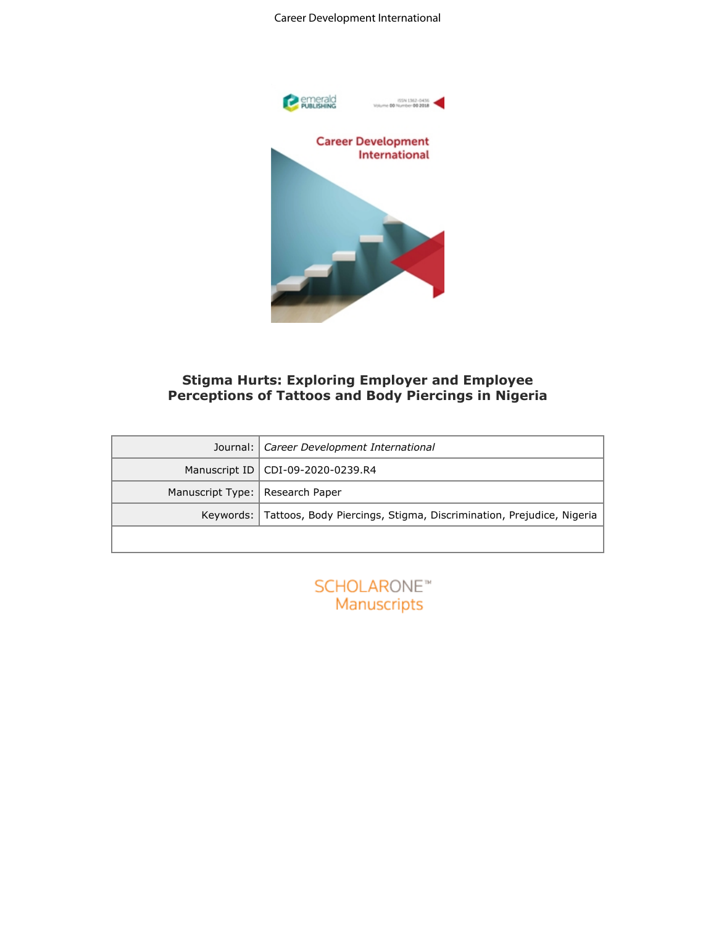#### Career Development International



# **Stigma Hurts: Exploring Employer and Employee Perceptions of Tattoos and Body Piercings in Nigeria**

| <b>Career Development</b><br>International<br><b>Stigma Hurts: Exploring Employer and Employee</b><br><b>Perceptions of Tattoos and Body Piercings in Nigeria</b> |                                                                     |  |  |  |  |  |  |
|-------------------------------------------------------------------------------------------------------------------------------------------------------------------|---------------------------------------------------------------------|--|--|--|--|--|--|
| Journal:                                                                                                                                                          | Career Development International                                    |  |  |  |  |  |  |
| Manuscript ID                                                                                                                                                     | CDI-09-2020-0239.R4                                                 |  |  |  |  |  |  |
| Manuscript Type:                                                                                                                                                  | Research Paper                                                      |  |  |  |  |  |  |
| Keywords:                                                                                                                                                         | Tattoos, Body Piercings, Stigma, Discrimination, Prejudice, Nigeria |  |  |  |  |  |  |
|                                                                                                                                                                   |                                                                     |  |  |  |  |  |  |
|                                                                                                                                                                   | SCHOLARONE <sup>*</sup><br>Manuscripts                              |  |  |  |  |  |  |

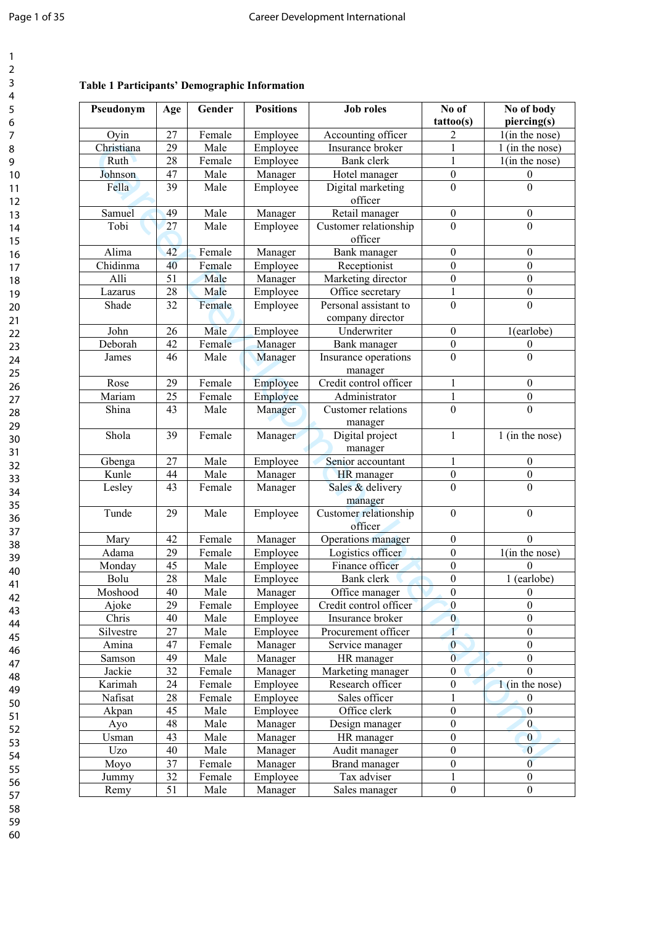# **Table 1 Participants' Demographic Information**

| Pseudonym  | Age | Gender | <b>Positions</b> | <b>Job roles</b>                          | No of<br>tattoo(s) | No of body<br>piercing(s)    |
|------------|-----|--------|------------------|-------------------------------------------|--------------------|------------------------------|
| Oyin       | 27  | Female | Employee         | Accounting officer                        | 2                  | $1$ (in the nose)            |
| Christiana | 29  | Male   | Employee         | Insurance broker                          | 1                  | 1 (in the nose)              |
| Ruth       | 28  | Female | Employee         | Bank clerk                                | $\mathbf{1}$       | $1$ (in the nose)            |
| Johnson    | 47  | Male   | Manager          | Hotel manager                             | $\boldsymbol{0}$   | $\boldsymbol{0}$             |
| Fella      | 39  | Male   | Employee         | Digital marketing<br>officer              | $\mathbf{0}$       | $\boldsymbol{0}$             |
| Samuel     | 49  | Male   | Manager          | Retail manager                            | $\boldsymbol{0}$   | $\boldsymbol{0}$             |
| Tobi       | 27  | Male   | Employee         | Customer relationship<br>officer          | $\overline{0}$     | $\overline{0}$               |
| Alima      | 42  | Female | Manager          | Bank manager                              | $\boldsymbol{0}$   | $\boldsymbol{0}$             |
| Chidinma   | 40  | Female | Employee         | Receptionist                              | $\mathbf{0}$       | $\boldsymbol{0}$             |
| Alli       | 51  | Male   | Manager          | Marketing director                        | $\boldsymbol{0}$   | $\boldsymbol{0}$             |
| Lazarus    | 28  | Male   | Employee         | Office secretary                          | $\mathbf{1}$       | $\boldsymbol{0}$             |
| Shade      | 32  | Female | Employee         | Personal assistant to<br>company director | $\overline{0}$     | $\boldsymbol{0}$             |
| John       | 26  | Male   | Employee         | Underwriter                               | $\mathbf{0}$       | 1(earlobe)                   |
| Deborah    | 42  | Female | Manager          | Bank manager                              | $\boldsymbol{0}$   | $\boldsymbol{0}$             |
| James      | 46  | Male   | Manager          | Insurance operations<br>manager           | $\mathbf{0}$       | $\boldsymbol{0}$             |
| Rose       | 29  | Female | Employee         | Credit control officer                    | $\mathbf{1}$       | $\boldsymbol{0}$             |
| Mariam     | 25  | Female | Employee         | Administrator                             | $\mathbf 1$        | $\boldsymbol{0}$             |
| Shina      | 43  | Male   | Manager          | Customer relations<br>manager             | $\overline{0}$     | $\mathbf{0}$                 |
| Shola      | 39  | Female | Manager          | Digital project<br>manager                | $\mathbf{1}$       | $\overline{1}$ (in the nose) |
| Gbenga     | 27  | Male   | Employee         | Senior accountant                         | 1                  | $\boldsymbol{0}$             |
| Kunle      | 44  | Male   | Manager          | <b>HR</b> manager                         | $\boldsymbol{0}$   | $\boldsymbol{0}$             |
| Lesley     | 43  | Female | Manager          | Sales & delivery<br>manager               | $\boldsymbol{0}$   | $\boldsymbol{0}$             |
| Tunde      | 29  | Male   | Employee         | Customer relationship<br>officer          | $\boldsymbol{0}$   | $\boldsymbol{0}$             |
| Mary       | 42  | Female | Manager          | Operations manager                        | $\boldsymbol{0}$   | $\theta$                     |
| Adama      | 29  | Female | Employee         | Logistics officer                         | $\boldsymbol{0}$   | $1$ (in the nose)            |
| Monday     | 45  | Male   | Employee         | Finance officer                           | $\boldsymbol{0}$   | $\Omega$                     |
| Bolu       | 28  | Male   | Employee         | Bank clerk                                | $\boldsymbol{0}$   | 1 (earlobe)                  |
| Moshood    | 40  | Male   | Manager          | Office manager                            | $\bf{0}$           | $\boldsymbol{0}$             |
| Ajoke      | 29  | Female | Employee         | Credit control officer                    | $\theta$           | $\boldsymbol{0}$             |
| Chris      | 40  | Male   | Employee         | Insurance broker                          | $\overline{0}$     | $\boldsymbol{0}$             |
| Silvestre  | 27  | Male   | Employee         | Procurement officer                       | 1                  | $\boldsymbol{0}$             |
| Amina      | 47  | Female | Manager          | Service manager                           | $\bf{0}$           | $\boldsymbol{0}$             |
| Samson     | 49  | Male   | Manager          | HR manager                                | $\overline{0}$     | $\boldsymbol{0}$             |
| Jackie     | 32  | Female | Manager          | Marketing manager                         | $\boldsymbol{0}$   | $\theta$                     |
| Karimah    | 24  | Female | Employee         | Research officer                          | $\boldsymbol{0}$   | $1$ (in the nose)            |
| Nafisat    | 28  | Female | Employee         | Sales officer                             | 1                  | $\boldsymbol{0}$             |
| Akpan      | 45  | Male   | Employee         | Office clerk                              | $\boldsymbol{0}$   | $\boldsymbol{0}$             |
| Ayo        | 48  | Male   | Manager          | Design manager                            | $\boldsymbol{0}$   | $\mathbf{0}$                 |
| Usman      | 43  | Male   | Manager          | HR manager                                | $\boldsymbol{0}$   | $\mathbf{0}$                 |
| Uzo        | 40  | Male   | Manager          | Audit manager                             | $\boldsymbol{0}$   | $\overline{0}$               |
| Moyo       | 37  | Female | Manager          | Brand manager                             | $\boldsymbol{0}$   | $\boldsymbol{0}$             |
| Jummy      | 32  | Female | Employee         | Tax adviser                               | 1                  | $\boldsymbol{0}$             |
| Remy       | 51  | Male   | Manager          | Sales manager                             | $\boldsymbol{0}$   | $\boldsymbol{0}$             |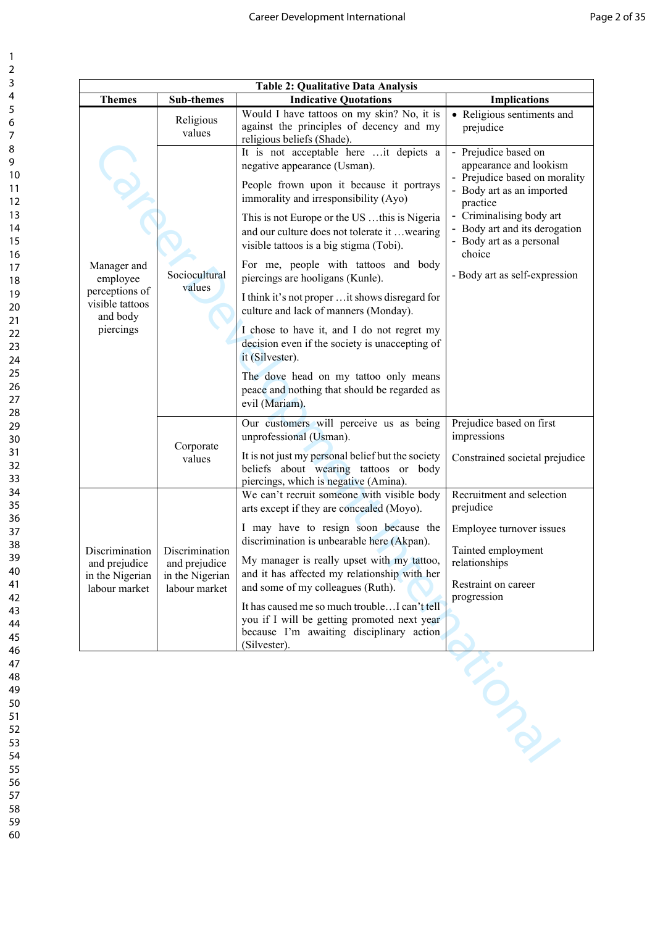| <b>Table 2: Qualitative Data Analysis</b>                                             |                                                                     |                                                                                                                                                                                                                                                                                                                                                                                                                                                                                                                                                                                                                                                                                                               |                                                                                                                                                                                                                                                              |  |  |  |  |  |
|---------------------------------------------------------------------------------------|---------------------------------------------------------------------|---------------------------------------------------------------------------------------------------------------------------------------------------------------------------------------------------------------------------------------------------------------------------------------------------------------------------------------------------------------------------------------------------------------------------------------------------------------------------------------------------------------------------------------------------------------------------------------------------------------------------------------------------------------------------------------------------------------|--------------------------------------------------------------------------------------------------------------------------------------------------------------------------------------------------------------------------------------------------------------|--|--|--|--|--|
| <b>Themes</b>                                                                         | <b>Sub-themes</b>                                                   | <b>Indicative Quotations</b>                                                                                                                                                                                                                                                                                                                                                                                                                                                                                                                                                                                                                                                                                  | <b>Implications</b>                                                                                                                                                                                                                                          |  |  |  |  |  |
| Manager and<br>employee<br>perceptions of<br>visible tattoos<br>and body<br>piercings | Religious<br>values                                                 | Would I have tattoos on my skin? No, it is<br>against the principles of decency and my<br>religious beliefs (Shade).                                                                                                                                                                                                                                                                                                                                                                                                                                                                                                                                                                                          | • Religious sentiments and<br>prejudice                                                                                                                                                                                                                      |  |  |  |  |  |
|                                                                                       | Sociocultural<br>values                                             | It is not acceptable here it depicts a<br>negative appearance (Usman).<br>People frown upon it because it portrays<br>immorality and irresponsibility (Ayo)<br>This is not Europe or the US this is Nigeria<br>and our culture does not tolerate it  wearing<br>visible tattoos is a big stigma (Tobi).<br>For me, people with tattoos and body<br>piercings are hooligans (Kunle).<br>I think it's not proper  it shows disregard for<br>culture and lack of manners (Monday).<br>I chose to have it, and I do not regret my<br>decision even if the society is unaccepting of<br>it (Silvester).<br>The dove head on my tattoo only means<br>peace and nothing that should be regarded as<br>evil (Mariam). | - Prejudice based on<br>appearance and lookism<br>- Prejudice based on morality<br>- Body art as an imported<br>practice<br>- Criminalising body art<br>- Body art and its derogation<br>- Body art as a personal<br>choice<br>- Body art as self-expression |  |  |  |  |  |
|                                                                                       | Corporate<br>values                                                 | Our customers will perceive us as being<br>unprofessional (Usman).<br>It is not just my personal belief but the society<br>beliefs about wearing tattoos or body                                                                                                                                                                                                                                                                                                                                                                                                                                                                                                                                              | Prejudice based on first<br>impressions<br>Constrained societal prejudice                                                                                                                                                                                    |  |  |  |  |  |
| Discrimination<br>and prejudice<br>in the Nigerian<br>labour market                   | Discrimination<br>and prejudice<br>in the Nigerian<br>labour market | piercings, which is negative (Amina).<br>We can't recruit someone with visible body<br>arts except if they are concealed (Moyo).<br>I may have to resign soon because the<br>discrimination is unbearable here (Akpan).<br>My manager is really upset with my tattoo,<br>and it has affected my relationship with her<br>and some of my colleagues (Ruth).<br>It has caused me so much trouble I can't tell<br>you if I will be getting promoted next year<br>because I'm awaiting disciplinary action<br>(Silvester).                                                                                                                                                                                        | Recruitment and selection<br>prejudice<br>Employee turnover issues<br>Tainted employment<br>relationships<br>Restraint on career<br>progression                                                                                                              |  |  |  |  |  |
|                                                                                       |                                                                     |                                                                                                                                                                                                                                                                                                                                                                                                                                                                                                                                                                                                                                                                                                               |                                                                                                                                                                                                                                                              |  |  |  |  |  |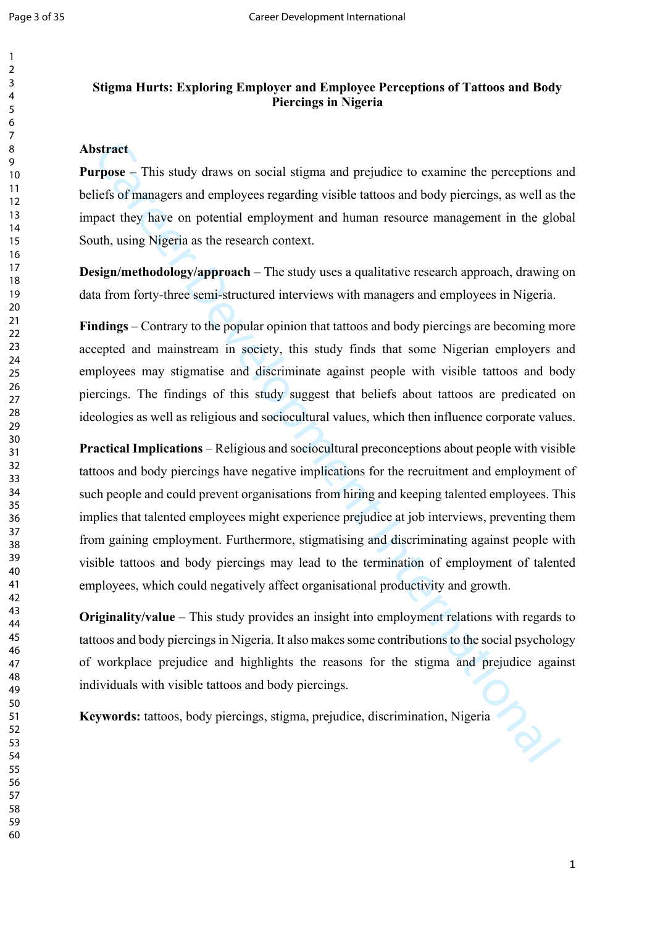# **Stigma Hurts: Exploring Employer and Employee Perceptions of Tattoos and Body Piercings in Nigeria**

## **Abstract**

**Purpose** – This study draws on social stigma and prejudice to examine the perceptions and beliefs of managers and employees regarding visible tattoos and body piercings, as well as the impact they have on potential employment and human resource management in the global South, using Nigeria as the research context.

**Design/methodology/approach** – The study uses a qualitative research approach, drawing on data from forty-three semi-structured interviews with managers and employees in Nigeria.

**Findings** – Contrary to the popular opinion that tattoos and body piercings are becoming more accepted and mainstream in society, this study finds that some Nigerian employers and employees may stigmatise and discriminate against people with visible tattoos and body piercings. The findings of this study suggest that beliefs about tattoos are predicated on ideologies as well as religious and sociocultural values, which then influence corporate values.

**Intract**<br>**CARECT CONDITE:** This study draws on social stigma and prejudice to examine the perceptions are distinguistive of managers and employees regarding visible tattoos and body piercings, as well as first of managers **Practical Implications** – Religious and sociocultural preconceptions about people with visible tattoos and body piercings have negative implications for the recruitment and employment of such people and could prevent organisations from hiring and keeping talented employees. This implies that talented employees might experience prejudice at job interviews, preventing them from gaining employment. Furthermore, stigmatising and discriminating against people with visible tattoos and body piercings may lead to the termination of employment of talented employees, which could negatively affect organisational productivity and growth.

**Originality/value** – This study provides an insight into employment relations with regards to tattoos and body piercings in Nigeria. It also makes some contributions to the social psychology of workplace prejudice and highlights the reasons for the stigma and prejudice against individuals with visible tattoos and body piercings.

**Keywords:** tattoos, body piercings, stigma, prejudice, discrimination, Nigeria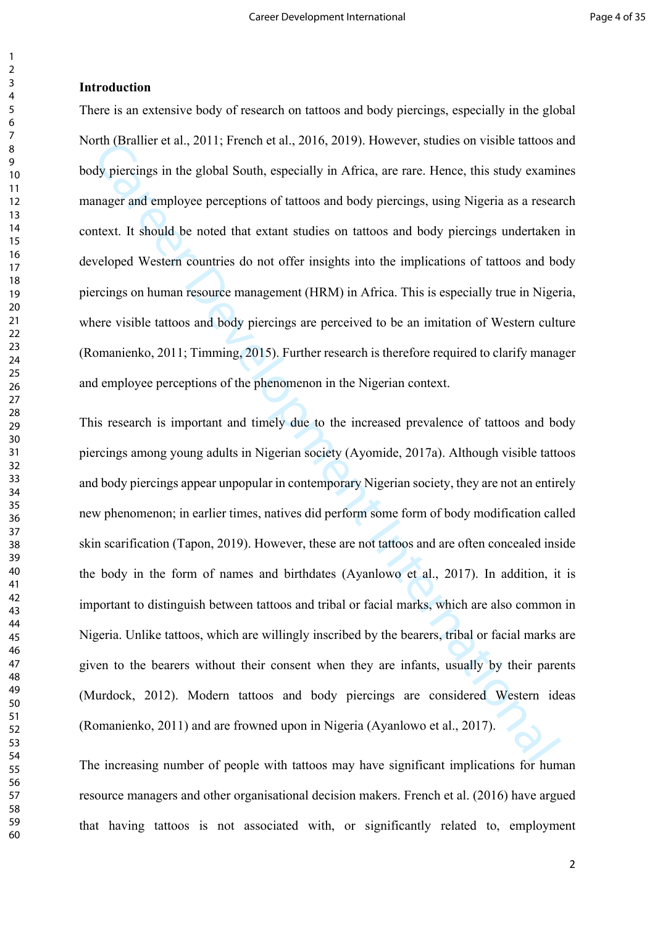#### **Introduction**

There is an extensive body of research on tattoos and body piercings, especially in the global North (Brallier et al., 2011; French et al., 2016, 2019). However, studies on visible tattoos and body piercings in the global South, especially in Africa, are rare. Hence, this study examines manager and employee perceptions of tattoos and body piercings, using Nigeria as a research context. It should be noted that extant studies on tattoos and body piercings undertaken in developed Western countries do not offer insights into the implications of tattoos and body piercings on human resource management (HRM) in Africa. This is especially true in Nigeria, where visible tattoos and body piercings are perceived to be an imitation of Western culture (Romanienko, 2011; Timming, 2015). Further research is therefore required to clarify manager and employee perceptions of the phenomenon in the Nigerian context.

The Ustainer et al., 2011; Premen et al., 2016, 2019). However, studies on visione tations and poly piercings in the global South, especially in Africa, are rare. Hence, this study examinager and employee perceptions of ta This research is important and timely due to the increased prevalence of tattoos and body piercings among young adults in Nigerian society (Ayomide, 2017a). Although visible tattoos and body piercings appear unpopular in contemporary Nigerian society, they are not an entirely new phenomenon; in earlier times, natives did perform some form of body modification called skin scarification (Tapon, 2019). However, these are not tattoos and are often concealed inside the body in the form of names and birthdates (Ayanlowo et al., 2017). In addition, it is important to distinguish between tattoos and tribal or facial marks, which are also common in Nigeria. Unlike tattoos, which are willingly inscribed by the bearers, tribal or facial marks are given to the bearers without their consent when they are infants, usually by their parents (Murdock, 2012). Modern tattoos and body piercings are considered Western ideas (Romanienko, 2011) and are frowned upon in Nigeria (Ayanlowo et al., 2017).

The increasing number of people with tattoos may have significant implications for human resource managers and other organisational decision makers. French et al. (2016) have argued that having tattoos is not associated with, or significantly related to, employment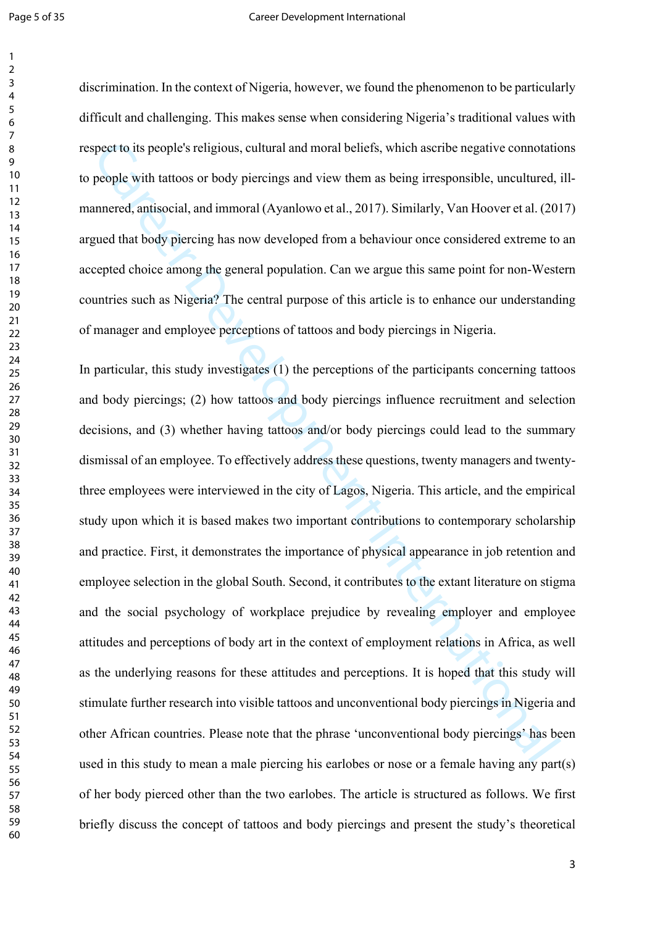discrimination. In the context of Nigeria, however, we found the phenomenon to be particularly difficult and challenging. This makes sense when considering Nigeria's traditional values with respect to its people's religious, cultural and moral beliefs, which ascribe negative connotations to people with tattoos or body piercings and view them as being irresponsible, uncultured, illmannered, antisocial, and immoral (Ayanlowo et al., 2017). Similarly, Van Hoover et al. (2017) argued that body piercing has now developed from a behaviour once considered extreme to an accepted choice among the general population. Can we argue this same point for non-Western countries such as Nigeria? The central purpose of this article is to enhance our understanding of manager and employee perceptions of tattoos and body piercings in Nigeria.

ppect is its people's religious, cultural and moral beliefs, which ascribe negative connotatio<br>people with tattoos or body picreings and view them as being irresponsible, uncultured,<br>annered, antisocial, and immoral (Ayanl In particular, this study investigates (1) the perceptions of the participants concerning tattoos and body piercings; (2) how tattoos and body piercings influence recruitment and selection decisions, and (3) whether having tattoos and/or body piercings could lead to the summary dismissal of an employee. To effectively address these questions, twenty managers and twentythree employees were interviewed in the city of Lagos, Nigeria. This article, and the empirical study upon which it is based makes two important contributions to contemporary scholarship and practice. First, it demonstrates the importance of physical appearance in job retention and employee selection in the global South. Second, it contributes to the extant literature on stigma and the social psychology of workplace prejudice by revealing employer and employee attitudes and perceptions of body art in the context of employment relations in Africa, as well as the underlying reasons for these attitudes and perceptions. It is hoped that this study will stimulate further research into visible tattoos and unconventional body piercings in Nigeria and other African countries. Please note that the phrase 'unconventional body piercings' has been used in this study to mean a male piercing his earlobes or nose or a female having any part(s) of her body pierced other than the two earlobes. The article is structured as follows. We first briefly discuss the concept of tattoos and body piercings and present the study's theoretical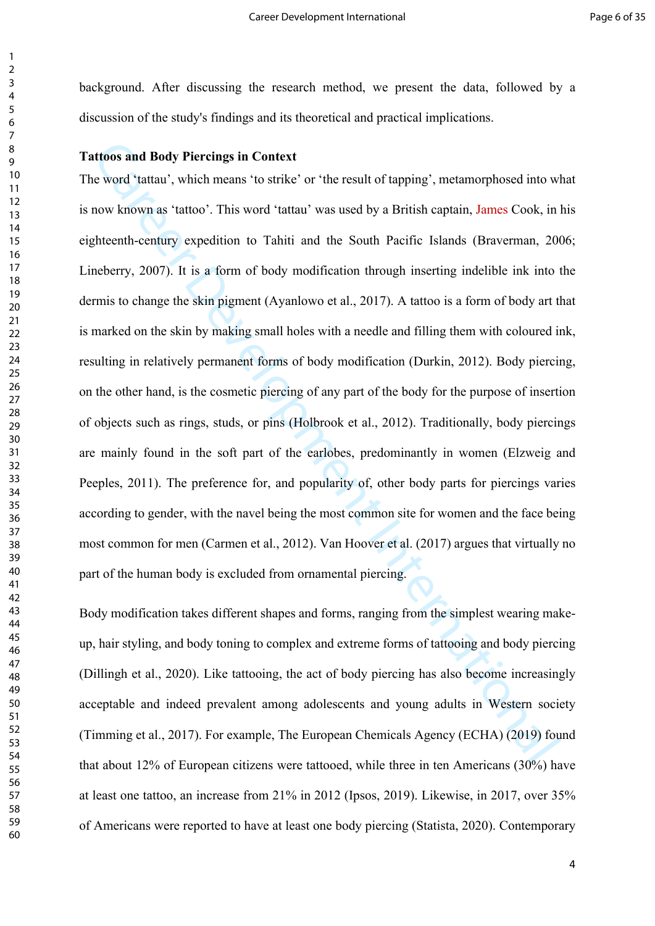background. After discussing the research method, we present the data, followed by a discussion of the study's findings and its theoretical and practical implications.

# **Tattoos and Body Piercings in Context**

titoos and Body Picreings in Context<br>
vevord 'tattau', which means 'to strike' or 'the result of tapping', metamorphosed into w<br>
now known as 'tattoo'. This word 'tattau' was used by a British captain, James Cook, in<br>
ghte The word 'tattau', which means 'to strike' or 'the result of tapping', metamorphosed into what is now known as 'tattoo'. This word 'tattau' was used by a British captain, James Cook, in his eighteenth-century expedition to Tahiti and the South Pacific Islands (Braverman, 2006; Lineberry, 2007). It is a form of body modification through inserting indelible ink into the dermis to change the skin pigment (Ayanlowo et al., 2017). A tattoo is a form of body art that is marked on the skin by making small holes with a needle and filling them with coloured ink, resulting in relatively permanent forms of body modification (Durkin, 2012). Body piercing, on the other hand, is the cosmetic piercing of any part of the body for the purpose of insertion of objects such as rings, studs, or pins (Holbrook et al., 2012). Traditionally, body piercings are mainly found in the soft part of the earlobes, predominantly in women (Elzweig and Peeples, 2011). The preference for, and popularity of, other body parts for piercings varies according to gender, with the navel being the most common site for women and the face being most common for men (Carmen et al., 2012). Van Hoover et al. (2017) argues that virtually no part of the human body is excluded from ornamental piercing.

Body modification takes different shapes and forms, ranging from the simplest wearing makeup, hair styling, and body toning to complex and extreme forms of tattooing and body piercing (Dillingh et al., 2020). Like tattooing, the act of body piercing has also become increasingly acceptable and indeed prevalent among adolescents and young adults in Western society (Timming et al., 2017). For example, The European Chemicals Agency (ECHA) (2019) found that about 12% of European citizens were tattooed, while three in ten Americans (30%) have at least one tattoo, an increase from 21% in 2012 (Ipsos, 2019). Likewise, in 2017, over 35% of Americans were reported to have at least one body piercing (Statista, 2020). Contemporary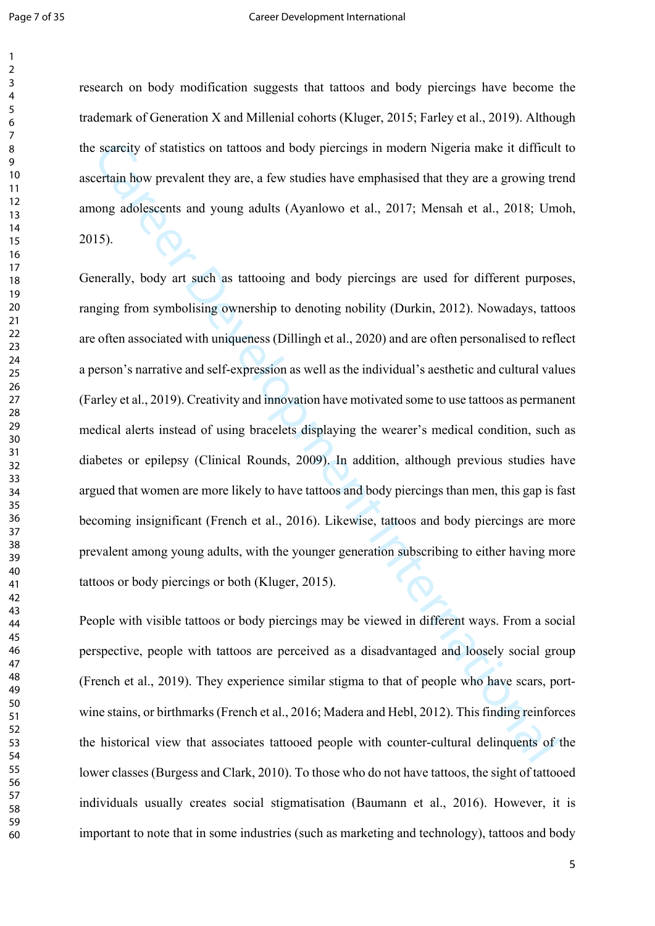#### Page 7 of 35 Career Development International

research on body modification suggests that tattoos and body piercings have become the trademark of Generation X and Millenial cohorts (Kluger, 2015; Farley et al., 2019). Although the scarcity of statistics on tattoos and body piercings in modern Nigeria make it difficult to ascertain how prevalent they are, a few studies have emphasised that they are a growing trend among adolescents and young adults (Ayanlowo et al., 2017; Mensah et al., 2018; Umoh, 2015).

searcity of statistics on tattoos and body piercings in modern Nigeria make it difficult<br>critain how prevalent they are, a few studies have emphasised that they are a growing tre<br>original move provident the station of the Generally, body art such as tattooing and body piercings are used for different purposes, ranging from symbolising ownership to denoting nobility (Durkin, 2012). Nowadays, tattoos are often associated with uniqueness (Dillingh et al., 2020) and are often personalised to reflect a person's narrative and self-expression as well as the individual's aesthetic and cultural values (Farley et al., 2019). Creativity and innovation have motivated some to use tattoos as permanent medical alerts instead of using bracelets displaying the wearer's medical condition, such as diabetes or epilepsy (Clinical Rounds, 2009). In addition, although previous studies have argued that women are more likely to have tattoos and body piercings than men, this gap is fast becoming insignificant (French et al., 2016). Likewise, tattoos and body piercings are more prevalent among young adults, with the younger generation subscribing to either having more tattoos or body piercings or both (Kluger, 2015).

People with visible tattoos or body piercings may be viewed in different ways. From a social perspective, people with tattoos are perceived as a disadvantaged and loosely social group (French et al., 2019). They experience similar stigma to that of people who have scars, portwine stains, or birthmarks (French et al., 2016; Madera and Hebl, 2012). This finding reinforces the historical view that associates tattooed people with counter-cultural delinquents of the lower classes (Burgess and Clark, 2010). To those who do not have tattoos, the sight of tattooed individuals usually creates social stigmatisation (Baumann et al., 2016). However, it is important to note that in some industries (such as marketing and technology), tattoos and body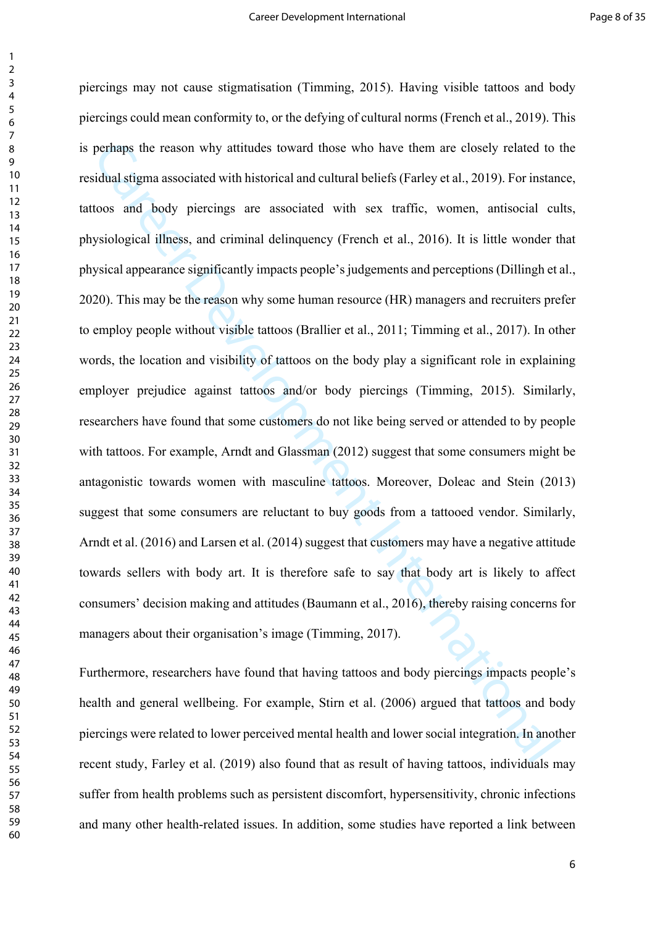perhaps the reason why attitudes toward those who have them are closely related to tidual stigma associated with historical and cultural beliefs (Farley et al., 2019). For instantoos and body piereings are associated with piercings may not cause stigmatisation (Timming, 2015). Having visible tattoos and body piercings could mean conformity to, or the defying of cultural norms (French et al., 2019). This is perhaps the reason why attitudes toward those who have them are closely related to the residual stigma associated with historical and cultural beliefs (Farley et al., 2019). For instance, tattoos and body piercings are associated with sex traffic, women, antisocial cults, physiological illness, and criminal delinquency (French et al., 2016). It is little wonder that physical appearance significantly impacts people's judgements and perceptions (Dillingh et al., 2020). This may be the reason why some human resource (HR) managers and recruiters prefer to employ people without visible tattoos (Brallier et al., 2011; Timming et al., 2017). In other words, the location and visibility of tattoos on the body play a significant role in explaining employer prejudice against tattoos and/or body piercings (Timming, 2015). Similarly, researchers have found that some customers do not like being served or attended to by people with tattoos. For example, Arndt and Glassman (2012) suggest that some consumers might be antagonistic towards women with masculine tattoos. Moreover, Doleac and Stein (2013) suggest that some consumers are reluctant to buy goods from a tattooed vendor. Similarly, Arndt et al. (2016) and Larsen et al. (2014) suggest that customers may have a negative attitude towards sellers with body art. It is therefore safe to say that body art is likely to affect consumers' decision making and attitudes (Baumann et al., 2016), thereby raising concerns for managers about their organisation's image (Timming, 2017).

Furthermore, researchers have found that having tattoos and body piercings impacts people's health and general wellbeing. For example, Stirn et al. (2006) argued that tattoos and body piercings were related to lower perceived mental health and lower social integration. In another recent study, Farley et al. (2019) also found that as result of having tattoos, individuals may suffer from health problems such as persistent discomfort, hypersensitivity, chronic infections and many other health-related issues. In addition, some studies have reported a link between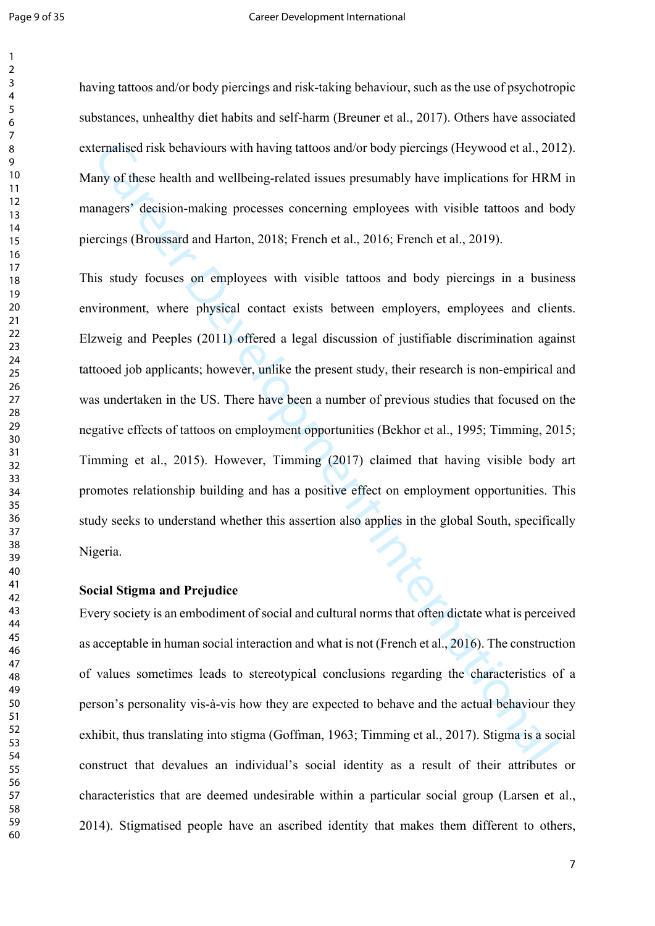#### Page 9 of 35 Career Development International

having tattoos and/or body piercings and risk-taking behaviour, such as the use of psychotropic substances, unhealthy diet habits and self-harm (Breuner et al., 2017). Others have associated externalised risk behaviours with having tattoos and/or body piercings (Heywood et al., 2012). Many of these health and wellbeing-related issues presumably have implications for HRM in managers' decision-making processes concerning employees with visible tattoos and body piercings (Broussard and Harton, 2018; French et al., 2016; French et al., 2019).

ternalised risk behaviours with having tattoos and/or body piercings (Heywood et al., 201<br>my of these health and wellbeing-related issues presumably have implications for HRM<br>magers' decision-making processes concerning em This study focuses on employees with visible tattoos and body piercings in a business environment, where physical contact exists between employers, employees and clients. Elzweig and Peeples (2011) offered a legal discussion of justifiable discrimination against tattooed job applicants; however, unlike the present study, their research is non-empirical and was undertaken in the US. There have been a number of previous studies that focused on the negative effects of tattoos on employment opportunities (Bekhor et al., 1995; Timming, 2015; Timming et al., 2015). However, Timming (2017) claimed that having visible body art promotes relationship building and has a positive effect on employment opportunities. This study seeks to understand whether this assertion also applies in the global South, specifically Nigeria.

#### **Social Stigma and Prejudice**

Every society is an embodiment of social and cultural norms that often dictate what is perceived as acceptable in human social interaction and what is not (French et al., 2016). The construction of values sometimes leads to stereotypical conclusions regarding the characteristics of a person's personality vis-à-vis how they are expected to behave and the actual behaviour they exhibit, thus translating into stigma (Goffman, 1963; Timming et al., 2017). Stigma is a social construct that devalues an individual's social identity as a result of their attributes or characteristics that are deemed undesirable within a particular social group (Larsen et al., 2014). Stigmatised people have an ascribed identity that makes them different to others,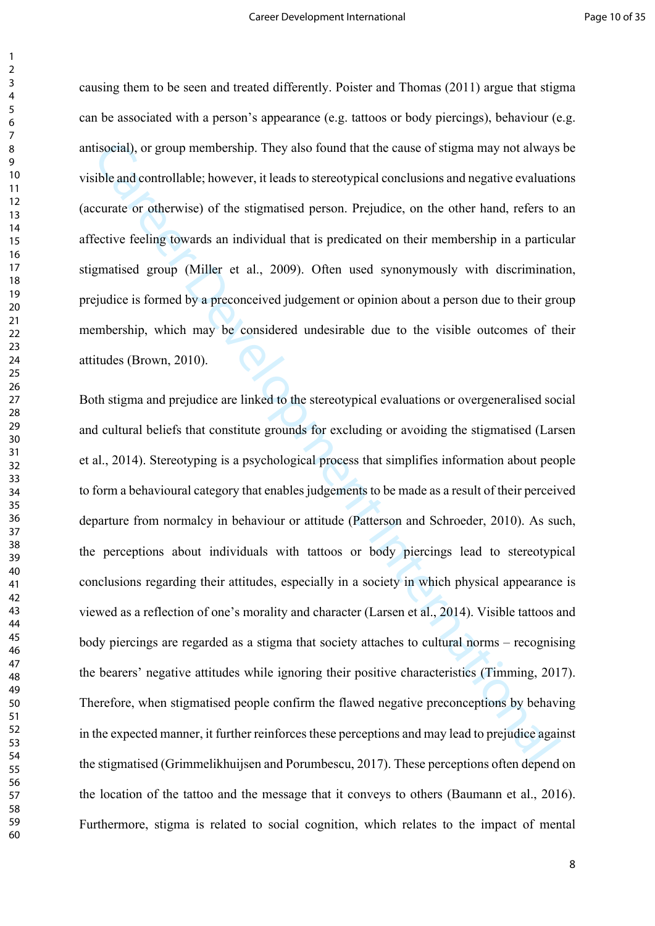causing them to be seen and treated differently. Poister and Thomas (2011) argue that stigma can be associated with a person's appearance (e.g. tattoos or body piercings), behaviour (e.g. antisocial), or group membership. They also found that the cause of stigma may not always be visible and controllable; however, it leads to stereotypical conclusions and negative evaluations (accurate or otherwise) of the stigmatised person. Prejudice, on the other hand, refers to an affective feeling towards an individual that is predicated on their membership in a particular stigmatised group (Miller et al., 2009). Often used synonymously with discrimination, prejudice is formed by a preconceived judgement or opinion about a person due to their group membership, which may be considered undesirable due to the visible outcomes of their attitudes (Brown, 2010).

disocial), or group membership. They also found that the cause of stigma may not always<br>ible and controllable; however, it leads to stereotypical conclusions and negative evaluaties<br>the and controllable; however, it leads Both stigma and prejudice are linked to the stereotypical evaluations or overgeneralised social and cultural beliefs that constitute grounds for excluding or avoiding the stigmatised (Larsen et al., 2014). Stereotyping is a psychological process that simplifies information about people to form a behavioural category that enables judgements to be made as a result of their perceived departure from normalcy in behaviour or attitude (Patterson and Schroeder, 2010). As such, the perceptions about individuals with tattoos or body piercings lead to stereotypical conclusions regarding their attitudes, especially in a society in which physical appearance is viewed as a reflection of one's morality and character (Larsen et al., 2014). Visible tattoos and body piercings are regarded as a stigma that society attaches to cultural norms – recognising the bearers' negative attitudes while ignoring their positive characteristics (Timming, 2017). Therefore, when stigmatised people confirm the flawed negative preconceptions by behaving in the expected manner, it further reinforces these perceptions and may lead to prejudice against the stigmatised (Grimmelikhuijsen and Porumbescu, 2017). These perceptions often depend on the location of the tattoo and the message that it conveys to others (Baumann et al., 2016). Furthermore, stigma is related to social cognition, which relates to the impact of mental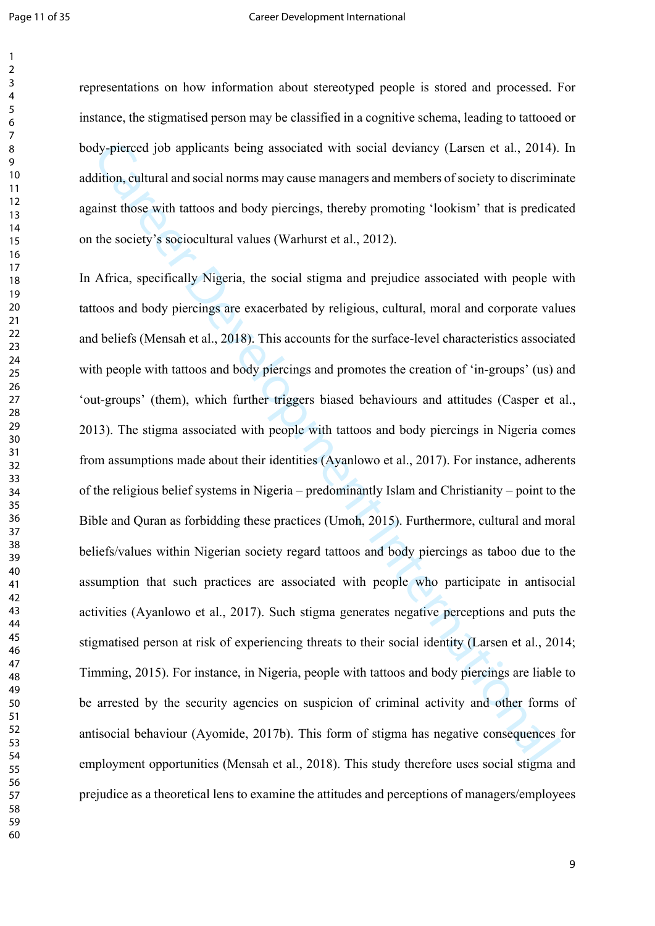representations on how information about stereotyped people is stored and processed. For instance, the stigmatised person may be classified in a cognitive schema, leading to tattooed or body-pierced job applicants being associated with social deviancy (Larsen et al., 2014). In addition, cultural and social norms may cause managers and members of society to discriminate against those with tattoos and body piercings, thereby promoting 'lookism' that is predicated on the society's sociocultural values (Warhurst et al., 2012).

dy-pierced job applicants being associated with social deviatory (Larsen et al., 2014).<br>
dition, cultural and social norms may eause managers and members of society to discrimina<br>
internations with tattoos and body piercin In Africa, specifically Nigeria, the social stigma and prejudice associated with people with tattoos and body piercings are exacerbated by religious, cultural, moral and corporate values and beliefs (Mensah et al., 2018). This accounts for the surface-level characteristics associated with people with tattoos and body piercings and promotes the creation of 'in-groups' (us) and 'out-groups' (them), which further triggers biased behaviours and attitudes (Casper et al., 2013). The stigma associated with people with tattoos and body piercings in Nigeria comes from assumptions made about their identities (Ayanlowo et al., 2017). For instance, adherents of the religious belief systems in Nigeria – predominantly Islam and Christianity – point to the Bible and Quran as forbidding these practices (Umoh, 2015). Furthermore, cultural and moral beliefs/values within Nigerian society regard tattoos and body piercings as taboo due to the assumption that such practices are associated with people who participate in antisocial activities (Ayanlowo et al., 2017). Such stigma generates negative perceptions and puts the stigmatised person at risk of experiencing threats to their social identity (Larsen et al., 2014; Timming, 2015). For instance, in Nigeria, people with tattoos and body piercings are liable to be arrested by the security agencies on suspicion of criminal activity and other forms of antisocial behaviour (Ayomide, 2017b). This form of stigma has negative consequences for employment opportunities (Mensah et al., 2018). This study therefore uses social stigma and prejudice as a theoretical lens to examine the attitudes and perceptions of managers/employees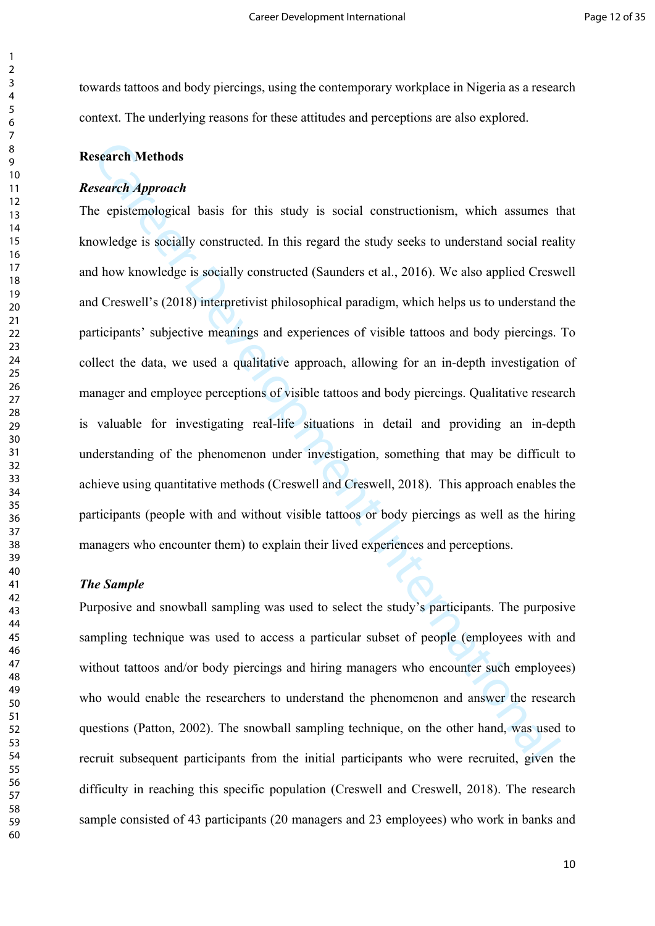towards tattoos and body piercings, using the contemporary workplace in Nigeria as a research context. The underlying reasons for these attitudes and perceptions are also explored.

# **Research Methods**

#### *Research Approach*

**Example 12**<br>
Search *Approach*<br>
consistent *opproach*<br>
consistent *opproach*<br>
consistent opproach<br>
consistent opproach<br>
consistent opproach<br>
dow knowledge is socially constructed. In this regard the study seeks to underst The epistemological basis for this study is social constructionism, which assumes that knowledge is socially constructed. In this regard the study seeks to understand social reality and how knowledge is socially constructed (Saunders et al., 2016). We also applied Creswell and Creswell's (2018) interpretivist philosophical paradigm, which helps us to understand the participants' subjective meanings and experiences of visible tattoos and body piercings. To collect the data, we used a qualitative approach, allowing for an in-depth investigation of manager and employee perceptions of visible tattoos and body piercings. Qualitative research is valuable for investigating real-life situations in detail and providing an in-depth understanding of the phenomenon under investigation, something that may be difficult to achieve using quantitative methods (Creswell and Creswell, 2018). This approach enables the participants (people with and without visible tattoos or body piercings as well as the hiring managers who encounter them) to explain their lived experiences and perceptions.

## *The Sample*

Purposive and snowball sampling was used to select the study's participants. The purposive sampling technique was used to access a particular subset of people (employees with and without tattoos and/or body piercings and hiring managers who encounter such employees) who would enable the researchers to understand the phenomenon and answer the research questions (Patton, 2002). The snowball sampling technique, on the other hand, was used to recruit subsequent participants from the initial participants who were recruited, given the difficulty in reaching this specific population (Creswell and Creswell, 2018). The research sample consisted of 43 participants (20 managers and 23 employees) who work in banks and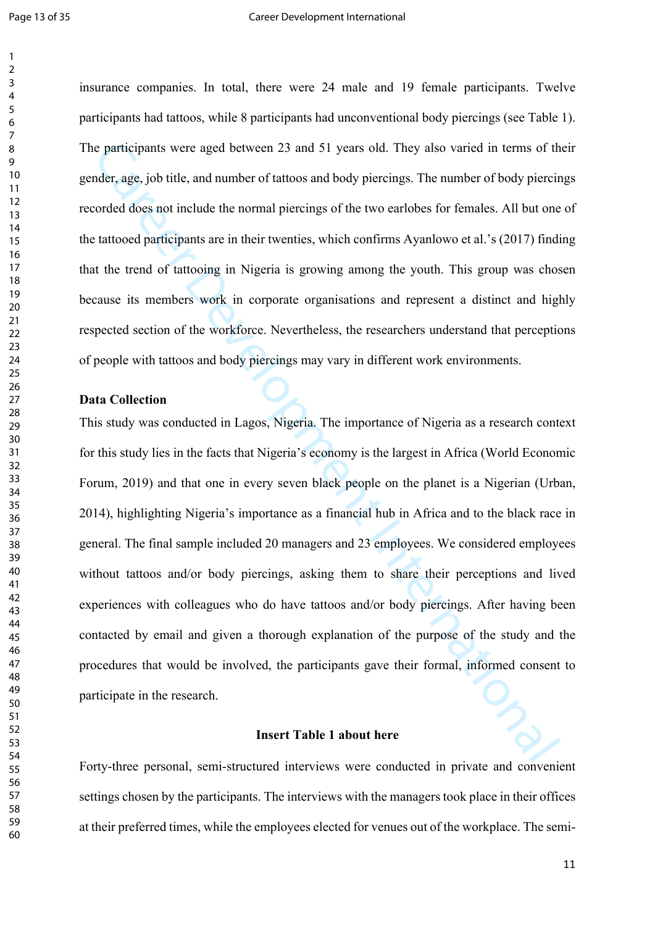insurance companies. In total, there were 24 male and 19 female participants. Twelve participants had tattoos, while 8 participants had unconventional body piercings (see Table 1). The participants were aged between 23 and 51 years old. They also varied in terms of their gender, age, job title, and number of tattoos and body piercings. The number of body piercings recorded does not include the normal piercings of the two earlobes for females. All but one of the tattooed participants are in their twenties, which confirms Ayanlowo et al.'s (2017) finding that the trend of tattooing in Nigeria is growing among the youth. This group was chosen because its members work in corporate organisations and represent a distinct and highly respected section of the workforce. Nevertheless, the researchers understand that perceptions of people with tattoos and body piercings may vary in different work environments.

# **Data Collection**

c participants were aged between 23 and 51 years old. They also varied in terms of the development and a participants and body picretings. The number of body picretion-<br>corded does not include the normal piercings of the t This study was conducted in Lagos, Nigeria. The importance of Nigeria as a research context for this study lies in the facts that Nigeria's economy is the largest in Africa (World Economic Forum, 2019) and that one in every seven black people on the planet is a Nigerian (Urban, 2014), highlighting Nigeria's importance as a financial hub in Africa and to the black race in general. The final sample included 20 managers and 23 employees. We considered employees without tattoos and/or body piercings, asking them to share their perceptions and lived experiences with colleagues who do have tattoos and/or body piercings. After having been contacted by email and given a thorough explanation of the purpose of the study and the procedures that would be involved, the participants gave their formal, informed consent to participate in the research.

## **Insert Table 1 about here**

Forty-three personal, semi-structured interviews were conducted in private and convenient settings chosen by the participants. The interviews with the managers took place in their offices at their preferred times, while the employees elected for venues out of the workplace. The semi-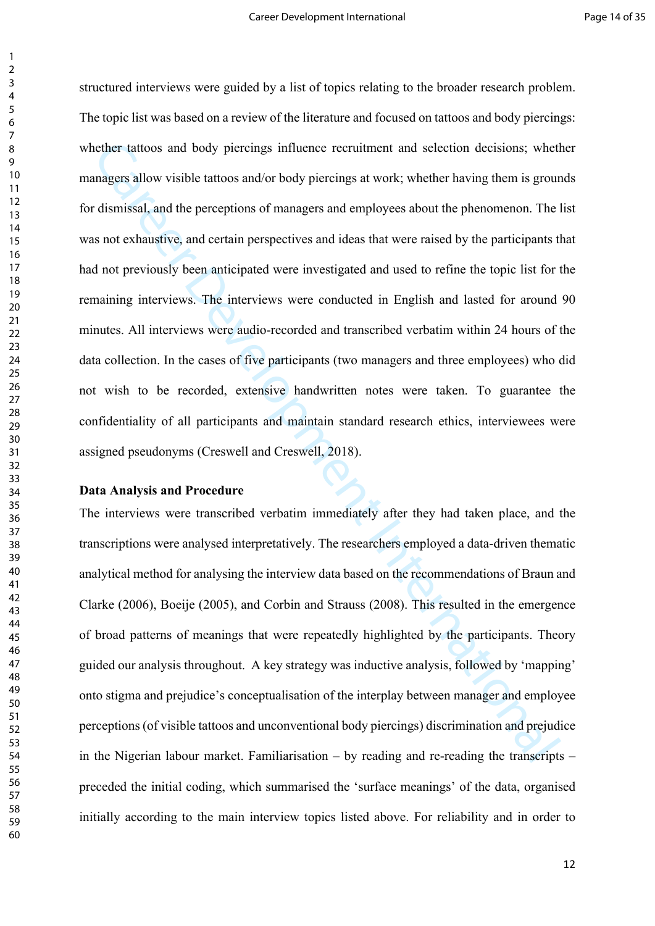nether tattoos and body piercings influence recruitment and selection decisions; wheth<br>anagers allow visible tattoos and/or body piercings at work; whether having them is grour<br>dismissal, and the perceptions of managers an structured interviews were guided by a list of topics relating to the broader research problem. The topic list was based on a review of the literature and focused on tattoos and body piercings: whether tattoos and body piercings influence recruitment and selection decisions; whether managers allow visible tattoos and/or body piercings at work; whether having them is grounds for dismissal, and the perceptions of managers and employees about the phenomenon. The list was not exhaustive, and certain perspectives and ideas that were raised by the participants that had not previously been anticipated were investigated and used to refine the topic list for the remaining interviews. The interviews were conducted in English and lasted for around 90 minutes. All interviews were audio-recorded and transcribed verbatim within 24 hours of the data collection. In the cases of five participants (two managers and three employees) who did not wish to be recorded, extensive handwritten notes were taken. To guarantee the confidentiality of all participants and maintain standard research ethics, interviewees were assigned pseudonyms (Creswell and Creswell, 2018).

# **Data Analysis and Procedure**

The interviews were transcribed verbatim immediately after they had taken place, and the transcriptions were analysed interpretatively. The researchers employed a data-driven thematic analytical method for analysing the interview data based on the recommendations of Braun and Clarke (2006), Boeije (2005), and Corbin and Strauss (2008). This resulted in the emergence of broad patterns of meanings that were repeatedly highlighted by the participants. Theory guided our analysis throughout. A key strategy was inductive analysis, followed by 'mapping' onto stigma and prejudice's conceptualisation of the interplay between manager and employee perceptions (of visible tattoos and unconventional body piercings) discrimination and prejudice in the Nigerian labour market. Familiarisation – by reading and re-reading the transcripts – preceded the initial coding, which summarised the 'surface meanings' of the data, organised initially according to the main interview topics listed above. For reliability and in order to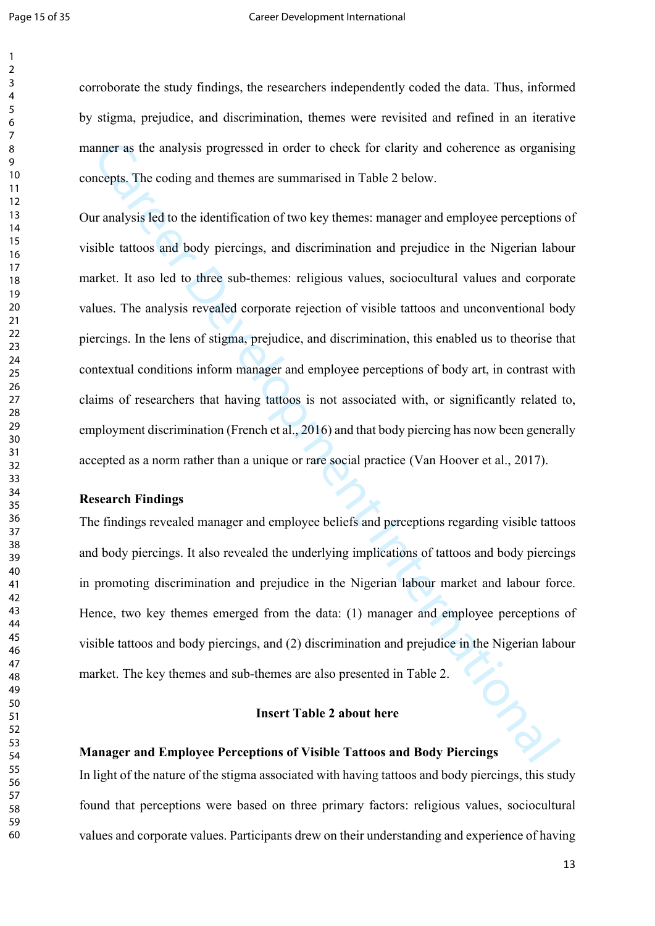corroborate the study findings, the researchers independently coded the data. Thus, informed by stigma, prejudice, and discrimination, themes were revisited and refined in an iterative manner as the analysis progressed in order to check for clarity and coherence as organising concepts. The coding and themes are summarised in Table 2 below.

mmer as the analysis progressed in order to check for clarity and coherence as organisievepts. The coding and themes are summarised in Table 2 below.<br>
It analysis led to the identification of two key themes: manager and em Our analysis led to the identification of two key themes: manager and employee perceptions of visible tattoos and body piercings, and discrimination and prejudice in the Nigerian labour market. It aso led to three sub-themes: religious values, sociocultural values and corporate values. The analysis revealed corporate rejection of visible tattoos and unconventional body piercings. In the lens of stigma, prejudice, and discrimination, this enabled us to theorise that contextual conditions inform manager and employee perceptions of body art, in contrast with claims of researchers that having tattoos is not associated with, or significantly related to, employment discrimination (French et al., 2016) and that body piercing has now been generally accepted as a norm rather than a unique or rare social practice (Van Hoover et al., 2017).

#### **Research Findings**

The findings revealed manager and employee beliefs and perceptions regarding visible tattoos and body piercings. It also revealed the underlying implications of tattoos and body piercings in promoting discrimination and prejudice in the Nigerian labour market and labour force. Hence, two key themes emerged from the data: (1) manager and employee perceptions of visible tattoos and body piercings, and (2) discrimination and prejudice in the Nigerian labour market. The key themes and sub-themes are also presented in Table 2.

#### **Insert Table 2 about here**

# **Manager and Employee Perceptions of Visible Tattoos and Body Piercings**

In light of the nature of the stigma associated with having tattoos and body piercings, this study found that perceptions were based on three primary factors: religious values, sociocultural values and corporate values. Participants drew on their understanding and experience of having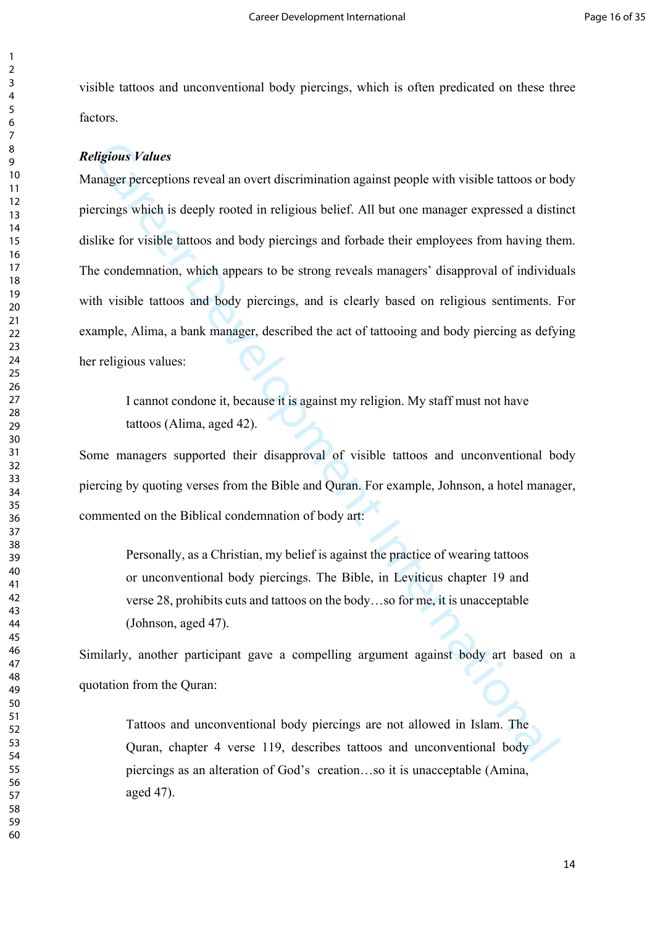visible tattoos and unconventional body piercings, which is often predicated on these three factors.

#### *Religious Values*

digious Values<br>
anager perceptions reveal an overt discrimination against people with visible tattoos or bo<br>
recings which is deeply rooted in religious belief. All but one manager expressed a disti<br>
like for visible tatto Manager perceptions reveal an overt discrimination against people with visible tattoos or body piercings which is deeply rooted in religious belief. All but one manager expressed a distinct dislike for visible tattoos and body piercings and forbade their employees from having them. The condemnation, which appears to be strong reveals managers' disapproval of individuals with visible tattoos and body piercings, and is clearly based on religious sentiments. For example, Alima, a bank manager, described the act of tattooing and body piercing as defying her religious values:

I cannot condone it, because it is against my religion. My staff must not have tattoos (Alima, aged 42).

Some managers supported their disapproval of visible tattoos and unconventional body piercing by quoting verses from the Bible and Quran. For example, Johnson, a hotel manager, commented on the Biblical condemnation of body art:

Personally, as a Christian, my belief is against the practice of wearing tattoos or unconventional body piercings. The Bible, in Leviticus chapter 19 and verse 28, prohibits cuts and tattoos on the body…so for me, it is unacceptable (Johnson, aged 47).

Similarly, another participant gave a compelling argument against body art based on a quotation from the Quran:

Tattoos and unconventional body piercings are not allowed in Islam. The Quran, chapter 4 verse 119, describes tattoos and unconventional body piercings as an alteration of God's creation…so it is unacceptable (Amina, aged 47).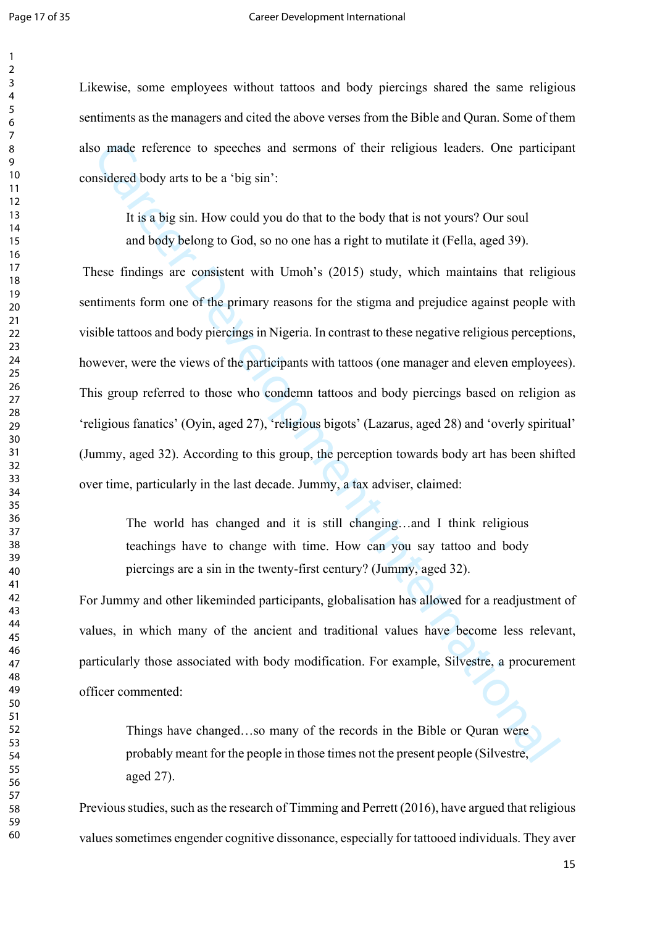#### Page 17 of 35 Career Development International

Likewise, some employees without tattoos and body piercings shared the same religious sentiments as the managers and cited the above verses from the Bible and Quran. Some of them also made reference to speeches and sermons of their religious leaders. One participant considered body arts to be a 'big sin':

It is a big sin. How could you do that to the body that is not yours? Our soul and body belong to God, so no one has a right to mutilate it (Fella, aged 39).

o made reference to speeches and sermons of their religious leaders. One particips<br>usidered body arts to be a 'big sin':<br>
It is a big sin. How could you do that to the body that is not youns? Our soul<br>
and body belong to G These findings are consistent with Umoh's (2015) study, which maintains that religious sentiments form one of the primary reasons for the stigma and prejudice against people with visible tattoos and body piercings in Nigeria. In contrast to these negative religious perceptions, however, were the views of the participants with tattoos (one manager and eleven employees). This group referred to those who condemn tattoos and body piercings based on religion as 'religious fanatics' (Oyin, aged 27), 'religious bigots' (Lazarus, aged 28) and 'overly spiritual' (Jummy, aged 32). According to this group, the perception towards body art has been shifted over time, particularly in the last decade. Jummy, a tax adviser, claimed:

The world has changed and it is still changing…and I think religious teachings have to change with time. How can you say tattoo and body piercings are a sin in the twenty-first century? (Jummy, aged 32).

For Jummy and other likeminded participants, globalisation has allowed for a readjustment of values, in which many of the ancient and traditional values have become less relevant, particularly those associated with body modification. For example, Silvestre, a procurement officer commented:

Things have changed…so many of the records in the Bible or Quran were probably meant for the people in those times not the present people (Silvestre, aged 27).

Previous studies, such as the research of Timming and Perrett (2016), have argued that religious values sometimes engender cognitive dissonance, especially for tattooed individuals. They aver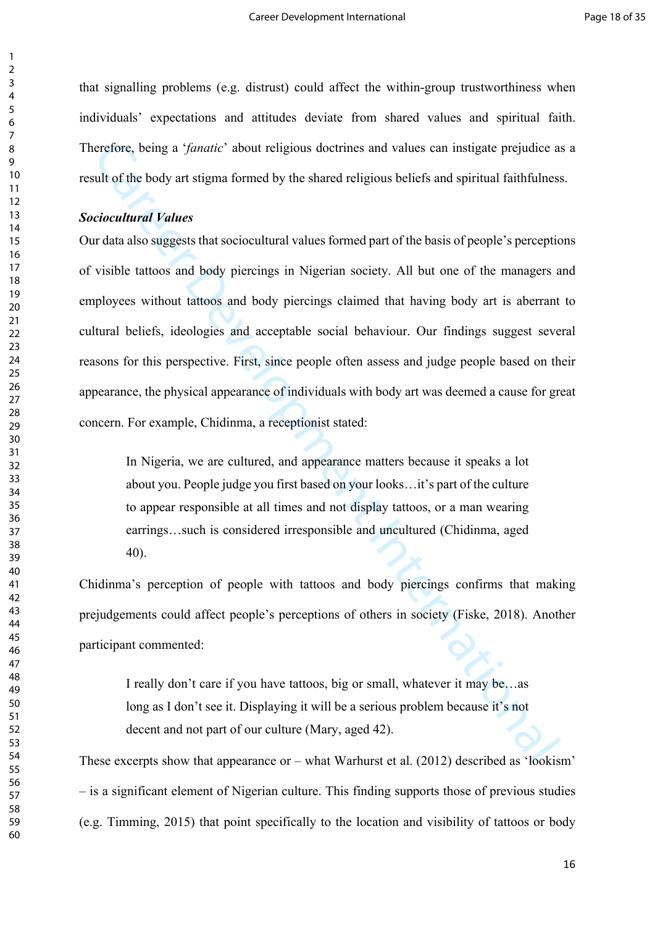that signalling problems (e.g. distrust) could affect the within-group trustworthiness when individuals' expectations and attitudes deviate from shared values and spiritual faith. Therefore, being a '*fanatic*' about religious doctrines and values can instigate prejudice as a result of the body art stigma formed by the shared religious beliefs and spiritual faithfulness.

# *Sociocultural Values*

erefore, being a *'fonaric*' about religious doetrines and values can instigate prejudice a<br>ult of the body art stigma formed by the shared religious beliefs and spiritual faithfulness<br>ciocultural Values<br>ciocultural Values Our data also suggests that sociocultural values formed part of the basis of people's perceptions of visible tattoos and body piercings in Nigerian society. All but one of the managers and employees without tattoos and body piercings claimed that having body art is aberrant to cultural beliefs, ideologies and acceptable social behaviour. Our findings suggest several reasons for this perspective. First, since people often assess and judge people based on their appearance, the physical appearance of individuals with body art was deemed a cause for great concern. For example, Chidinma, a receptionist stated:

In Nigeria, we are cultured, and appearance matters because it speaks a lot about you. People judge you first based on your looks…it's part of the culture to appear responsible at all times and not display tattoos, or a man wearing earrings…such is considered irresponsible and uncultured (Chidinma, aged 40).

Chidinma's perception of people with tattoos and body piercings confirms that making prejudgements could affect people's perceptions of others in society (Fiske, 2018). Another participant commented:

I really don't care if you have tattoos, big or small, whatever it may be…as long as I don't see it. Displaying it will be a serious problem because it's not decent and not part of our culture (Mary, aged 42).

These excerpts show that appearance or – what Warhurst et al. (2012) described as 'lookism' – is a significant element of Nigerian culture. This finding supports those of previous studies (e.g. Timming, 2015) that point specifically to the location and visibility of tattoos or body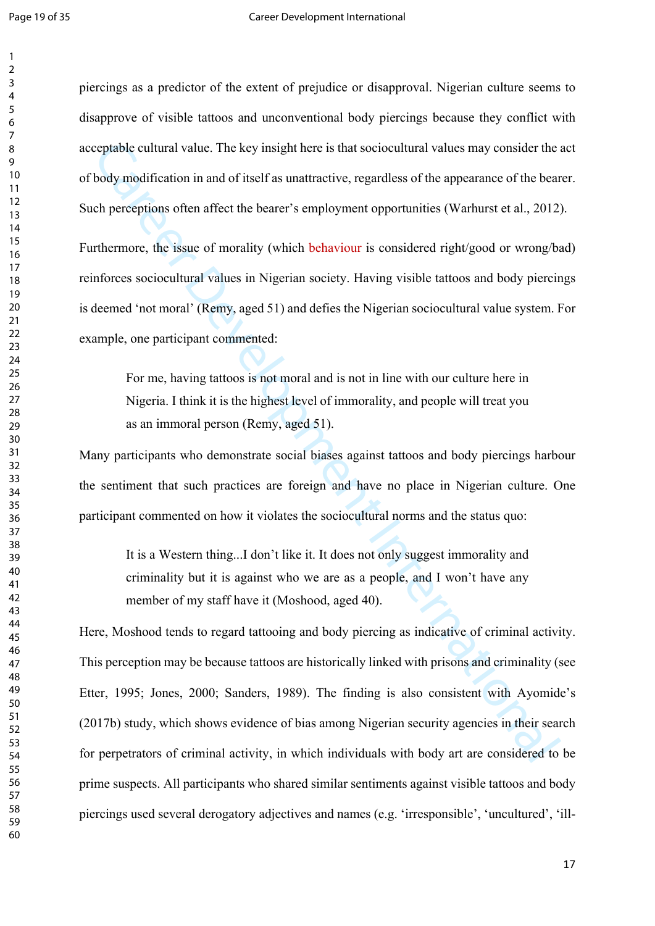piercings as a predictor of the extent of prejudice or disapproval. Nigerian culture seems to disapprove of visible tattoos and unconventional body piercings because they conflict with acceptable cultural value. The key insight here is that sociocultural values may consider the act of body modification in and of itself as unattractive, regardless of the appearance of the bearer. Such perceptions often affect the bearer's employment opportunities (Warhurst et al., 2012).

Furthermore, the issue of morality (which behaviour is considered right/good or wrong/bad) reinforces sociocultural values in Nigerian society. Having visible tattoos and body piercings is deemed 'not moral' (Remy, aged 51) and defies the Nigerian sociocultural value system. For example, one participant commented:

For me, having tattoos is not moral and is not in line with our culture here in Nigeria. I think it is the highest level of immorality, and people will treat you as an immoral person (Remy, aged 51).

Many participants who demonstrate social biases against tattoos and body piercings harbour the sentiment that such practices are foreign and have no place in Nigerian culture. One participant commented on how it violates the sociocultural norms and the status quo:

It is a Western thing...I don't like it. It does not only suggest immorality and criminality but it is against who we are as a people, and I won't have any member of my staff have it (Moshood, aged 40).

coptable cultural value. The key insight here is that sociocultural values may consider the-<br>body modification in and of itself as unattractive, regardless of the appearance of the bear<br>che perceptions often affect the bea Here, Moshood tends to regard tattooing and body piercing as indicative of criminal activity. This perception may be because tattoos are historically linked with prisons and criminality (see Etter, 1995; Jones, 2000; Sanders, 1989). The finding is also consistent with Ayomide's (2017b) study, which shows evidence of bias among Nigerian security agencies in their search for perpetrators of criminal activity, in which individuals with body art are considered to be prime suspects. All participants who shared similar sentiments against visible tattoos and body piercings used several derogatory adjectives and names (e.g. 'irresponsible', 'uncultured', 'ill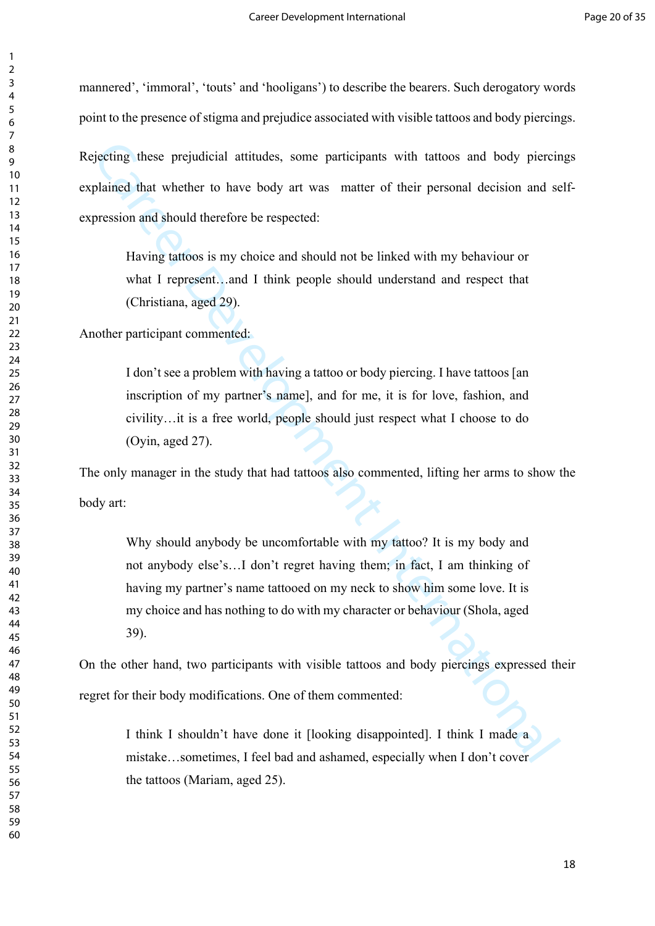mannered', 'immoral', 'touts' and 'hooligans') to describe the bearers. Such derogatory words point to the presence of stigma and prejudice associated with visible tattoos and body piercings. Rejecting these prejudicial attitudes, some participants with tattoos and body piercings explained that whether to have body art was matter of their personal decision and selfexpression and should therefore be respected:

Having tattoos is my choice and should not be linked with my behaviour or what I represent...and I think people should understand and respect that (Christiana, aged 29).

Another participant commented:

I don't see a problem with having a tattoo or body piercing. I have tattoos [an inscription of my partner's name], and for me, it is for love, fashion, and civility…it is a free world, people should just respect what I choose to do (Oyin, aged 27).

The only manager in the study that had tattoos also commented, lifting her arms to show the body art:

ejecting these prejudicial attitudes, some participants with tattoos and body piercic<br>plained that whether to have body art was matter of their personal decision and se<br>pression and should therefore be respected:<br>Having ta Why should anybody be uncomfortable with my tattoo? It is my body and not anybody else's…I don't regret having them; in fact, I am thinking of having my partner's name tattooed on my neck to show him some love. It is my choice and has nothing to do with my character or behaviour (Shola, aged 39).

On the other hand, two participants with visible tattoos and body piercings expressed their regret for their body modifications. One of them commented:

I think I shouldn't have done it [looking disappointed]. I think I made a mistake…sometimes, I feel bad and ashamed, especially when I don't cover the tattoos (Mariam, aged 25).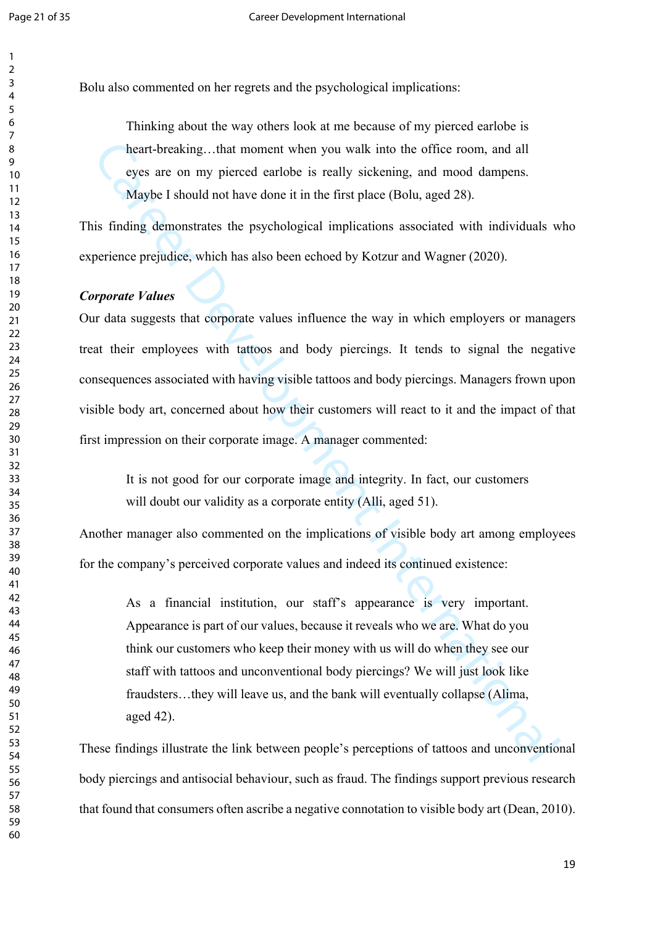Bolu also commented on her regrets and the psychological implications:

Thinking about the way others look at me because of my pierced earlobe is heart-breaking...that moment when you walk into the office room, and all eyes are on my pierced earlobe is really sickening, and mood dampens. Maybe I should not have done it in the first place (Bolu, aged 28).

This finding demonstrates the psychological implications associated with individuals who experience prejudice, which has also been echoed by Kotzur and Wagner (2020).

## *Corporate Values*

heart-breaking...that moment when you walk into the office room, and all<br>eyes are on my pierced earlobe is really siekening, and mood dampens.<br>Maybe I should not have done it in the first place (Bolu, aged 28).<br>
is finding Our data suggests that corporate values influence the way in which employers or managers treat their employees with tattoos and body piercings. It tends to signal the negative consequences associated with having visible tattoos and body piercings. Managers frown upon visible body art, concerned about how their customers will react to it and the impact of that first impression on their corporate image. A manager commented:

It is not good for our corporate image and integrity. In fact, our customers will doubt our validity as a corporate entity (Alli, aged 51).

Another manager also commented on the implications of visible body art among employees for the company's perceived corporate values and indeed its continued existence:

As a financial institution, our staff's appearance is very important. Appearance is part of our values, because it reveals who we are. What do you think our customers who keep their money with us will do when they see our staff with tattoos and unconventional body piercings? We will just look like fraudsters…they will leave us, and the bank will eventually collapse (Alima, aged 42).

These findings illustrate the link between people's perceptions of tattoos and unconventional body piercings and antisocial behaviour, such as fraud. The findings support previous research that found that consumers often ascribe a negative connotation to visible body art (Dean, 2010).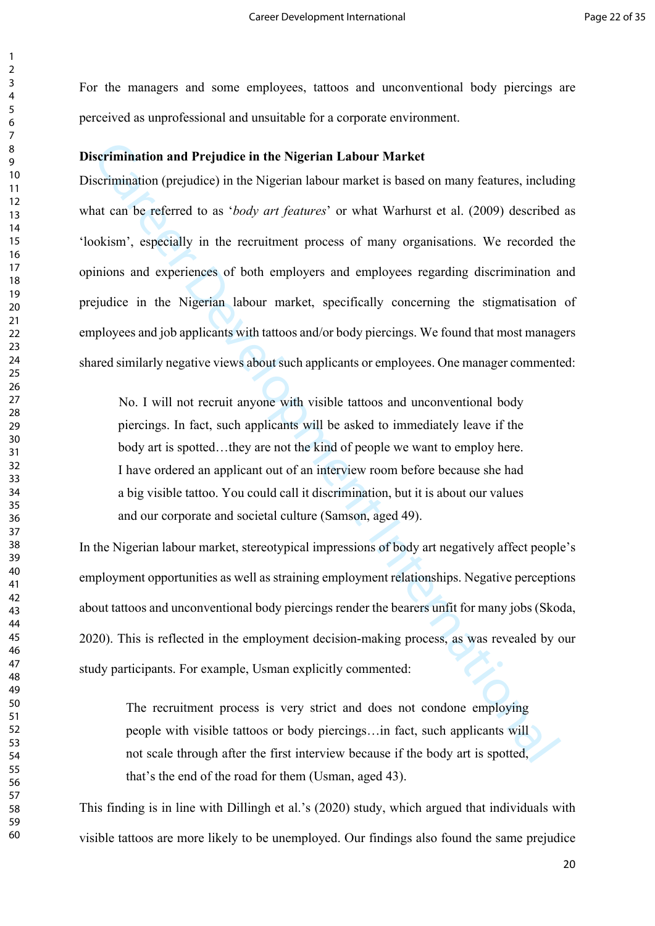For the managers and some employees, tattoos and unconventional body piercings are perceived as unprofessional and unsuitable for a corporate environment.

# **Discrimination and Prejudice in the Nigerian Labour Market**

**serimination and Prejudice in the Nigerian Labour Market**<br>
serimination (prejudice) in the Nigerian labour market is based on many features, includint<br>
tant can be referred to as *body art features*' or what Warhurst et a Discrimination (prejudice) in the Nigerian labour market is based on many features, including what can be referred to as '*body art features*' or what Warhurst et al. (2009) described as 'lookism', especially in the recruitment process of many organisations. We recorded the opinions and experiences of both employers and employees regarding discrimination and prejudice in the Nigerian labour market, specifically concerning the stigmatisation of employees and job applicants with tattoos and/or body piercings. We found that most managers shared similarly negative views about such applicants or employees. One manager commented:

No. I will not recruit anyone with visible tattoos and unconventional body piercings. In fact, such applicants will be asked to immediately leave if the body art is spotted...they are not the kind of people we want to employ here. I have ordered an applicant out of an interview room before because she had a big visible tattoo. You could call it discrimination, but it is about our values and our corporate and societal culture (Samson, aged 49).

In the Nigerian labour market, stereotypical impressions of body art negatively affect people's employment opportunities as well as straining employment relationships. Negative perceptions about tattoos and unconventional body piercings render the bearers unfit for many jobs (Skoda, 2020). This is reflected in the employment decision-making process, as was revealed by our study participants. For example, Usman explicitly commented:

The recruitment process is very strict and does not condone employing people with visible tattoos or body piercings…in fact, such applicants will not scale through after the first interview because if the body art is spotted, that's the end of the road for them (Usman, aged 43).

This finding is in line with Dillingh et al.'s (2020) study, which argued that individuals with visible tattoos are more likely to be unemployed. Our findings also found the same prejudice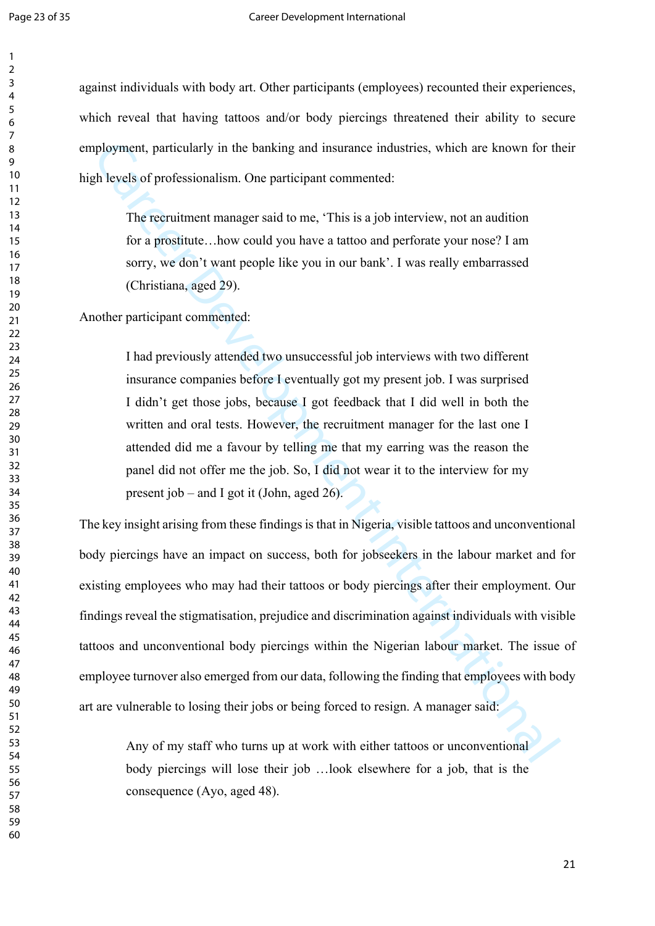against individuals with body art. Other participants (employees) recounted their experiences, which reveal that having tattoos and/or body piercings threatened their ability to secure employment, particularly in the banking and insurance industries, which are known for their high levels of professionalism. One participant commented:

> The recruitment manager said to me, 'This is a job interview, not an audition for a prostitute…how could you have a tattoo and perforate your nose? I am sorry, we don't want people like you in our bank'. I was really embarrassed (Christiana, aged 29).

Another participant commented:

I had previously attended two unsuccessful job interviews with two different insurance companies before I eventually got my present job. I was surprised I didn't get those jobs, because I got feedback that I did well in both the written and oral tests. However, the recruitment manager for the last one I attended did me a favour by telling me that my earring was the reason the panel did not offer me the job. So, I did not wear it to the interview for my present job – and I got it (John, aged 26).

phoyment, particularly in the banking and insurance industries, which are known for the<br>
the levels of professionalism. One participant commented:<br>
The recruitment manager said to me, 'This is a job interview, not an audit The key insight arising from these findings is that in Nigeria, visible tattoos and unconventional body piercings have an impact on success, both for jobseekers in the labour market and for existing employees who may had their tattoos or body piercings after their employment. Our findings reveal the stigmatisation, prejudice and discrimination against individuals with visible tattoos and unconventional body piercings within the Nigerian labour market. The issue of employee turnover also emerged from our data, following the finding that employees with body art are vulnerable to losing their jobs or being forced to resign. A manager said:

Any of my staff who turns up at work with either tattoos or unconventional body piercings will lose their job …look elsewhere for a job, that is the consequence (Ayo, aged 48).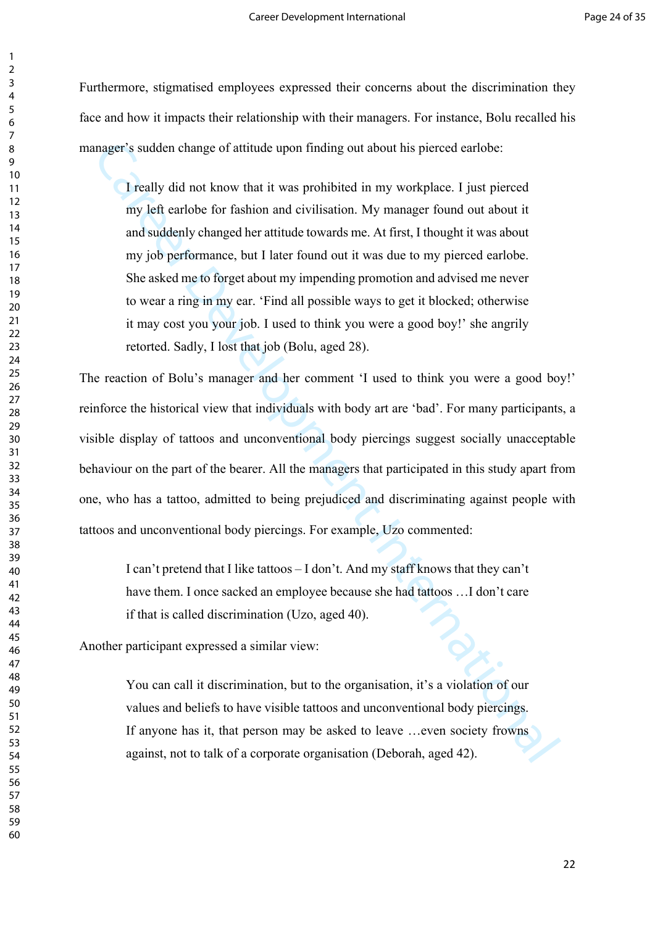Furthermore, stigmatised employees expressed their concerns about the discrimination they face and how it impacts their relationship with their managers. For instance, Bolu recalled his manager's sudden change of attitude upon finding out about his pierced earlobe:

I really did not know that it was prohibited in my workplace. I just pierced my left earlobe for fashion and civilisation. My manager found out about it and suddenly changed her attitude towards me. At first, I thought it was about my job performance, but I later found out it was due to my pierced earlobe. She asked me to forget about my impending promotion and advised me never to wear a ring in my ear. 'Find all possible ways to get it blocked; otherwise it may cost you your job. I used to think you were a good boy!' she angrily retorted. Sadly, I lost that job (Bolu, aged 28).

mager's sudden change of attitude upon finding out about his pierced carlobe:<br>
I really did not know that it was prohibited in my workplace. I just pierced<br>
my left earlobe for fashion and civilisation. My manager found ou The reaction of Bolu's manager and her comment 'I used to think you were a good boy!' reinforce the historical view that individuals with body art are 'bad'. For many participants, a visible display of tattoos and unconventional body piercings suggest socially unacceptable behaviour on the part of the bearer. All the managers that participated in this study apart from one, who has a tattoo, admitted to being prejudiced and discriminating against people with tattoos and unconventional body piercings. For example, Uzo commented:

I can't pretend that I like tattoos – I don't. And my staff knows that they can't have them. I once sacked an employee because she had tattoos …I don't care if that is called discrimination (Uzo, aged 40).

Another participant expressed a similar view:

You can call it discrimination, but to the organisation, it's a violation of our values and beliefs to have visible tattoos and unconventional body piercings. If anyone has it, that person may be asked to leave …even society frowns against, not to talk of a corporate organisation (Deborah, aged 42).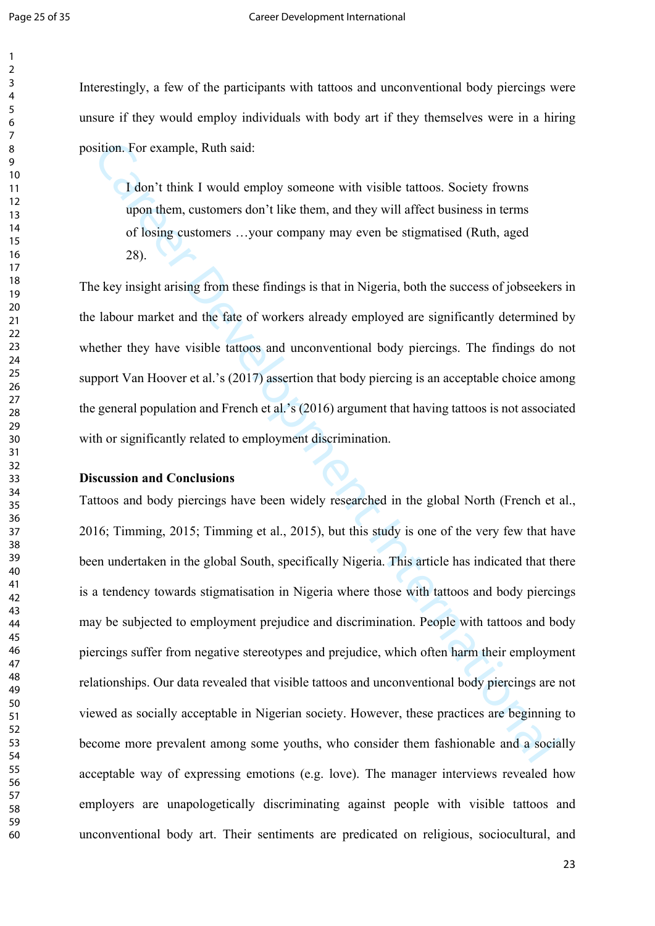Interestingly, a few of the participants with tattoos and unconventional body piercings were unsure if they would employ individuals with body art if they themselves were in a hiring position. For example, Ruth said:

I don't think I would employ someone with visible tattoos. Society frowns upon them, customers don't like them, and they will affect business in terms of losing customers …your company may even be stigmatised (Ruth, aged 28).

The key insight arising from these findings is that in Nigeria, both the success of jobseekers in the labour market and the fate of workers already employed are significantly determined by whether they have visible tattoos and unconventional body piercings. The findings do not support Van Hoover et al.'s (2017) assertion that body piercing is an acceptable choice among the general population and French et al.'s (2016) argument that having tattoos is not associated with or significantly related to employment discrimination.

## **Discussion and Conclusions**

sition. For example, Ruth said:<br> **L** don't think I would employ someone with visible tattoos. Society frowns<br>
upon them, customers don't like them, and they will affect business in terms<br>
of losing customers ...your compa Tattoos and body piercings have been widely researched in the global North (French et al., 2016; Timming, 2015; Timming et al., 2015), but this study is one of the very few that have been undertaken in the global South, specifically Nigeria. This article has indicated that there is a tendency towards stigmatisation in Nigeria where those with tattoos and body piercings may be subjected to employment prejudice and discrimination. People with tattoos and body piercings suffer from negative stereotypes and prejudice, which often harm their employment relationships. Our data revealed that visible tattoos and unconventional body piercings are not viewed as socially acceptable in Nigerian society. However, these practices are beginning to become more prevalent among some youths, who consider them fashionable and a socially acceptable way of expressing emotions (e.g. love). The manager interviews revealed how employers are unapologetically discriminating against people with visible tattoos and unconventional body art. Their sentiments are predicated on religious, sociocultural, and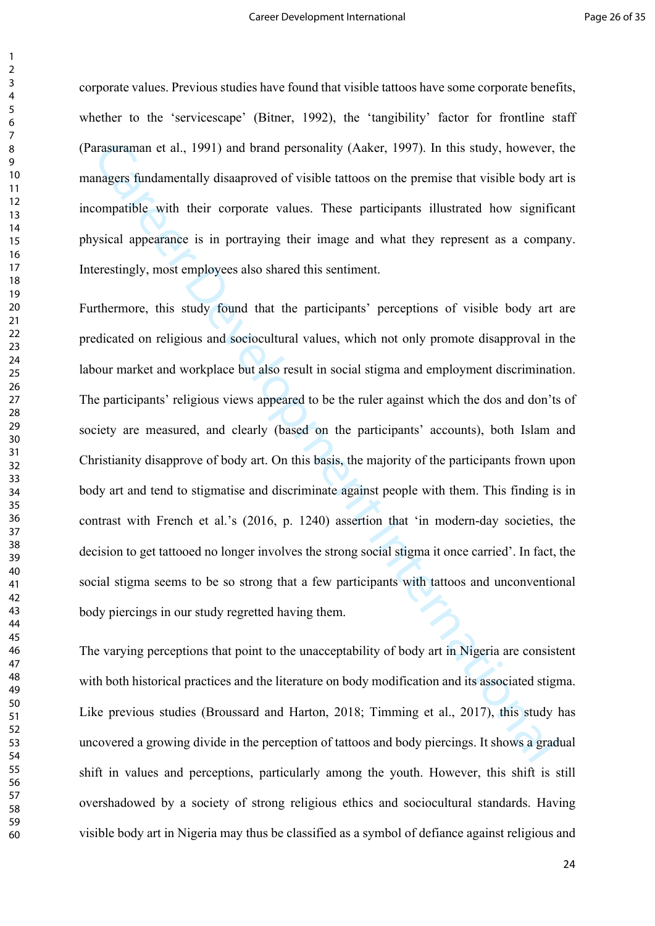corporate values. Previous studies have found that visible tattoos have some corporate benefits, whether to the 'servicescape' (Bitner, 1992), the 'tangibility' factor for frontline staff (Parasuraman et al., 1991) and brand personality (Aaker, 1997). In this study, however, the managers fundamentally disaaproved of visible tattoos on the premise that visible body art is incompatible with their corporate values. These participants illustrated how significant physical appearance is in portraying their image and what they represent as a company. Interestingly, most employees also shared this sentiment.

arasuraman et al., 1991) and brand personality (Aaker, 1997). In this study, however, thangers fundamentully disaaproved of visible tuttoos on the premise that visible body art<br>compagnise with their corporate values. These Furthermore, this study found that the participants' perceptions of visible body art are predicated on religious and sociocultural values, which not only promote disapproval in the labour market and workplace but also result in social stigma and employment discrimination. The participants' religious views appeared to be the ruler against which the dos and don'ts of society are measured, and clearly (based on the participants' accounts), both Islam and Christianity disapprove of body art. On this basis, the majority of the participants frown upon body art and tend to stigmatise and discriminate against people with them. This finding is in contrast with French et al.'s (2016, p. 1240) assertion that 'in modern-day societies, the decision to get tattooed no longer involves the strong social stigma it once carried'. In fact, the social stigma seems to be so strong that a few participants with tattoos and unconventional body piercings in our study regretted having them.

The varying perceptions that point to the unacceptability of body art in Nigeria are consistent with both historical practices and the literature on body modification and its associated stigma. Like previous studies (Broussard and Harton, 2018; Timming et al., 2017), this study has uncovered a growing divide in the perception of tattoos and body piercings. It shows a gradual shift in values and perceptions, particularly among the youth. However, this shift is still overshadowed by a society of strong religious ethics and sociocultural standards. Having visible body art in Nigeria may thus be classified as a symbol of defiance against religious and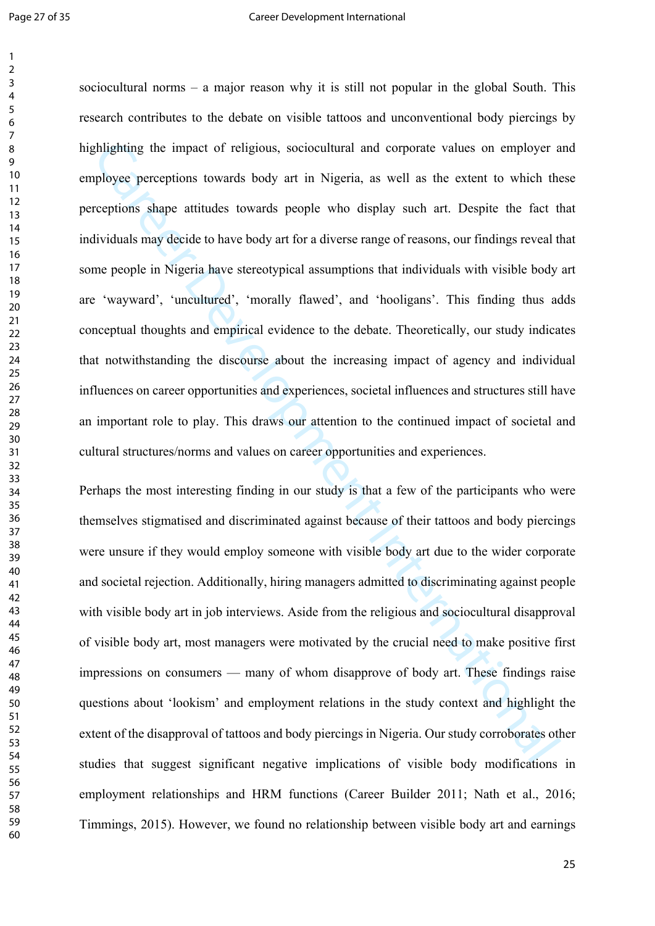dhighting the impact of religious, sociocultural and corporate values on employer applyear apply and propertions shape attitudes towards body art in Nigeria, as well as the extent to which the reprions shape attitudes towa sociocultural norms – a major reason why it is still not popular in the global South. This research contributes to the debate on visible tattoos and unconventional body piercings by highlighting the impact of religious, sociocultural and corporate values on employer and employee perceptions towards body art in Nigeria, as well as the extent to which these perceptions shape attitudes towards people who display such art. Despite the fact that individuals may decide to have body art for a diverse range of reasons, our findings reveal that some people in Nigeria have stereotypical assumptions that individuals with visible body art are 'wayward', 'uncultured', 'morally flawed', and 'hooligans'. This finding thus adds conceptual thoughts and empirical evidence to the debate. Theoretically, our study indicates that notwithstanding the discourse about the increasing impact of agency and individual influences on career opportunities and experiences, societal influences and structures still have an important role to play. This draws our attention to the continued impact of societal and cultural structures/norms and values on career opportunities and experiences.

Perhaps the most interesting finding in our study is that a few of the participants who were themselves stigmatised and discriminated against because of their tattoos and body piercings were unsure if they would employ someone with visible body art due to the wider corporate and societal rejection. Additionally, hiring managers admitted to discriminating against people with visible body art in job interviews. Aside from the religious and sociocultural disapproval of visible body art, most managers were motivated by the crucial need to make positive first impressions on consumers — many of whom disapprove of body art. These findings raise questions about 'lookism' and employment relations in the study context and highlight the extent of the disapproval of tattoos and body piercings in Nigeria. Our study corroborates other studies that suggest significant negative implications of visible body modifications in employment relationships and HRM functions (Career Builder 2011; Nath et al., 2016; Timmings, 2015). However, we found no relationship between visible body art and earnings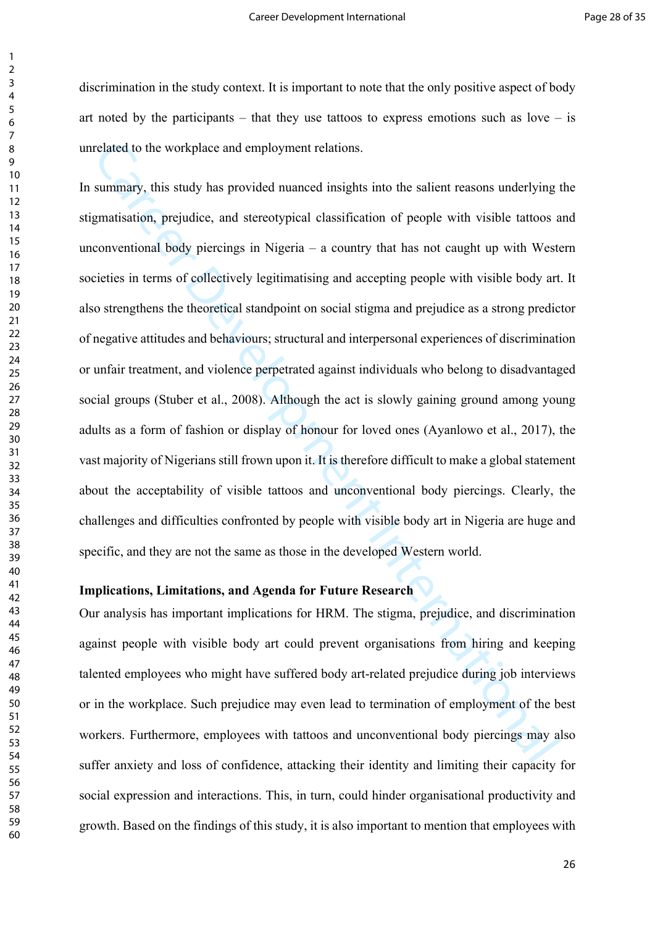discrimination in the study context. It is important to note that the only positive aspect of body art noted by the participants – that they use tattoos to express emotions such as love – is unrelated to the workplace and employment relations.

related to the workplace and employment relations.<br>
summary, this study has provided nuanced insights into the salient reasons underlying<br>
genutisation, prejudice, and streotypical classification of people with visible tat In summary, this study has provided nuanced insights into the salient reasons underlying the stigmatisation, prejudice, and stereotypical classification of people with visible tattoos and unconventional body piercings in Nigeria – a country that has not caught up with Western societies in terms of collectively legitimatising and accepting people with visible body art. It also strengthens the theoretical standpoint on social stigma and prejudice as a strong predictor of negative attitudes and behaviours; structural and interpersonal experiences of discrimination or unfair treatment, and violence perpetrated against individuals who belong to disadvantaged social groups (Stuber et al., 2008). Although the act is slowly gaining ground among young adults as a form of fashion or display of honour for loved ones (Ayanlowo et al., 2017), the vast majority of Nigerians still frown upon it. It is therefore difficult to make a global statement about the acceptability of visible tattoos and unconventional body piercings. Clearly, the challenges and difficulties confronted by people with visible body art in Nigeria are huge and specific, and they are not the same as those in the developed Western world.

## **Implications, Limitations, and Agenda for Future Research**

Our analysis has important implications for HRM. The stigma, prejudice, and discrimination against people with visible body art could prevent organisations from hiring and keeping talented employees who might have suffered body art-related prejudice during job interviews or in the workplace. Such prejudice may even lead to termination of employment of the best workers. Furthermore, employees with tattoos and unconventional body piercings may also suffer anxiety and loss of confidence, attacking their identity and limiting their capacity for social expression and interactions. This, in turn, could hinder organisational productivity and growth. Based on the findings of this study, it is also important to mention that employees with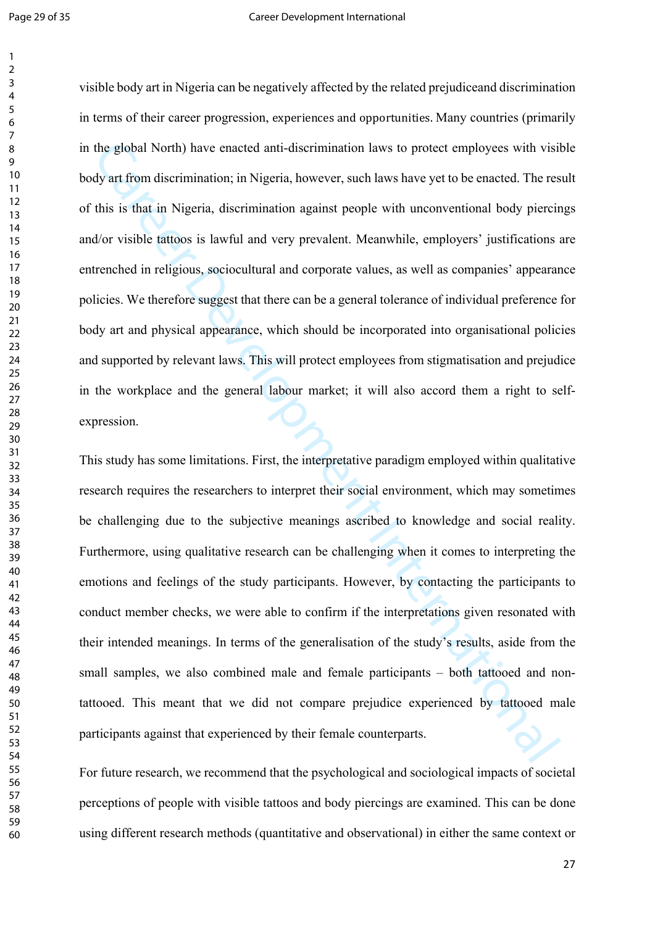the global North) have enacted anti-discrimination laws to protect employees with visitly at from discrimination; in Nigeria, however, such laws have yet to be enacted. The rest distribution in Nigeria, discrimination agai visible body art in Nigeria can be negatively affected by the related prejudiceand discrimination in terms of their career progression, experiences and opportunities. Many countries (primarily in the global North) have enacted anti-discrimination laws to protect employees with visible body art from discrimination; in Nigeria, however, such laws have yet to be enacted. The result of this is that in Nigeria, discrimination against people with unconventional body piercings and/or visible tattoos is lawful and very prevalent. Meanwhile, employers' justifications are entrenched in religious, sociocultural and corporate values, as well as companies' appearance policies. We therefore suggest that there can be a general tolerance of individual preference for body art and physical appearance, which should be incorporated into organisational policies and supported by relevant laws. This will protect employees from stigmatisation and prejudice in the workplace and the general labour market; it will also accord them a right to selfexpression.

This study has some limitations. First, the interpretative paradigm employed within qualitative research requires the researchers to interpret their social environment, which may sometimes be challenging due to the subjective meanings ascribed to knowledge and social reality. Furthermore, using qualitative research can be challenging when it comes to interpreting the emotions and feelings of the study participants. However, by contacting the participants to conduct member checks, we were able to confirm if the interpretations given resonated with their intended meanings. In terms of the generalisation of the study's results, aside from the small samples, we also combined male and female participants – both tattooed and nontattooed. This meant that we did not compare prejudice experienced by tattooed male participants against that experienced by their female counterparts.

For future research, we recommend that the psychological and sociological impacts of societal perceptions of people with visible tattoos and body piercings are examined. This can be done using different research methods (quantitative and observational) in either the same context or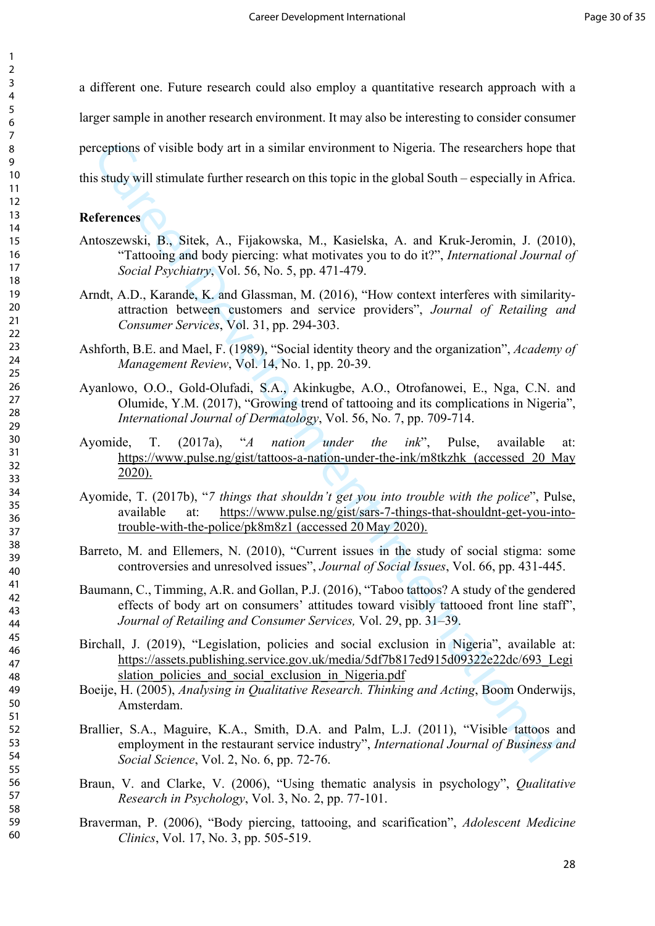a different one. Future research could also employ a quantitative research approach with a larger sample in another research environment. It may also be interesting to consider consumer perceptions of visible body art in a similar environment to Nigeria. The researchers hope that this study will stimulate further research on this topic in the global South – especially in Africa.

# **References**

- Antoszewski, B., Sitek, A., Fijakowska, M., Kasielska, A. and Kruk-Jeromin, J. (2010), "Tattooing and body piercing: what motivates you to do it?", *International Journal of Social Psychiatry*, Vol. 56, No. 5, pp. 471-479.
- Arndt, A.D., Karande, K. and Glassman, M. (2016), "How context interferes with similarityattraction between customers and service providers", *Journal of Retailing and Consumer Services*, Vol. 31, pp. 294-303.
- Ashforth, B.E. and Mael, F. (1989), "Social identity theory and the organization", *Academy of Management Review*, Vol. 14, No. 1, pp. 20-39.
- Ayanlowo, O.O., Gold-Olufadi, S.A., Akinkugbe, A.O., Otrofanowei, E., Nga, C.N. and Olumide, Y.M. (2017), "Growing trend of tattooing and its complications in Nigeria", *International Journal of Dermatology*, Vol. 56, No. 7, pp. 709-714.
- cognions of visible body art in a similar environ[me](about:blank)[nt](https://www.pulse.ng/gist/sars-7-things-that-shouldnt-get-you-into-trouble-with-the-police/pk8m8z1) to Nigeria. The researchers hope it study will stimulate further research on this topic in the global South especially in Afri<br> **ferences**<br>
Moszewski, B., Sitek, A., Ayomide, T. (2017a), "*A nation under the ink*", Pulse, available at: https://www.pulse.ng/gist/tattoos-a-nation-under-the-ink/m8tkzhk (accessed 20 May 2020).
- Ayomide, T. (2017b), "*7 things that shouldn't get you into trouble with the police*", Pulse, available at: https://www.pulse.ng/gist/sars-7-things-that-shouldnt-get-you-intotrouble-with-the-police/pk8m8z1 (accessed 20 May 2020).

Barreto, M. and Ellemers, N. (2010), "Current issues in the study of social stigma: some controversies and unresolved issues", *Journal of Social Issues*, Vol. 66, pp. 431-445.

- Baumann, C., Timming, A.R. and Gollan, P.J. (2016), "Taboo tattoos? A study of the gendered effects of body art on consumers' attitudes toward visibly tattooed front line staff", *Journal of Retailing and Consumer Services,* Vol. 29, pp. 31–39.
- Birchall, J. (2019), "Legislation, policies and social exclusion in Nigeria", available at: https://assets.publishing.service.gov.uk/media/5df7b817ed915d09322e22dc/693\_Legi slation policies and social exclusion in Nigeria.pdf
- Boeije, H. (2005), *Analysing in Qualitative Research. Thinking and Acting*, Boom Onderwijs, Amsterdam.
- Brallier, S.A., Maguire, K.A., Smith, D.A. and Palm, L.J. (2011), "Visible tattoos and employment in the restaurant service industry", *International Journal of Business and Social Science*, Vol. 2, No. 6, pp. 72-76.
- Braun, V. and Clarke, V. (2006), "Using thematic analysis in psychology", *Qualitative Research in Psychology*, Vol. 3, No. 2, pp. 77-101.
- Braverman, P. (2006), "Body piercing, tattooing, and scarification", *Adolescent Medicine Clinics*, Vol. 17, No. 3, pp. 505-519.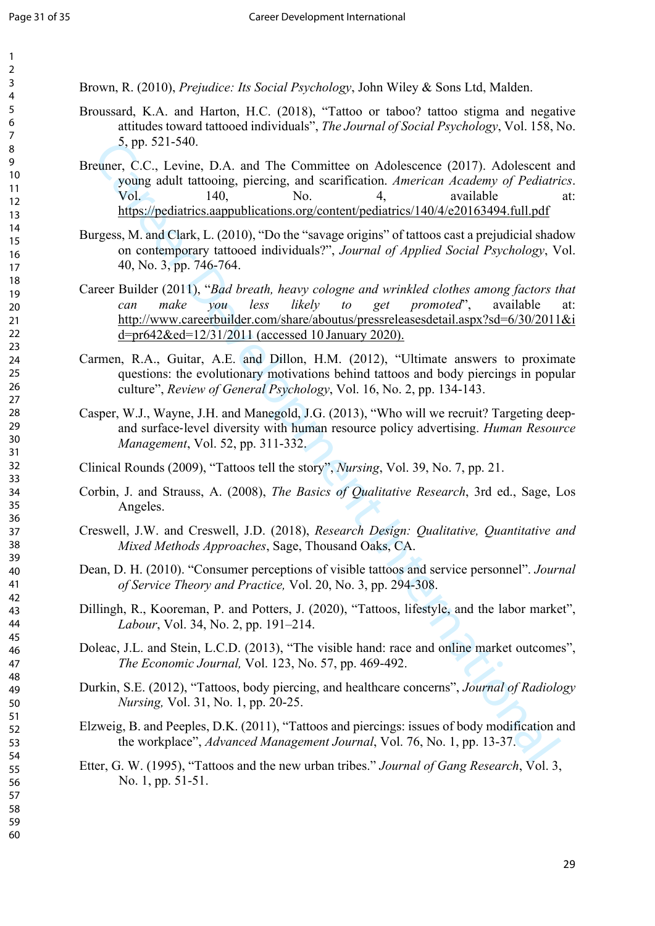Brown, R. (2010), *Prejudice: Its Social Psychology*, John Wiley & Sons Ltd, Malden.

- Broussard, K.A. and Harton, H.C. (2018), "Tattoo or taboo? tattoo stigma and negative attitudes toward tattooed individuals", *The Journal of Social Psychology*, Vol. 158, No. 5, pp. 521-540.
- Breuner, C.C., Levine, D.A. and The Committee on Adolescence (2017). Adolescent and young adult tattooing, piercing, and scarification. *American Academy of Pediatrics*. Vol. 140, No. 4, available at: https://pediatrics.aappublications.org/content/pediatrics/140/4/e20163494.full.pdf
- Burgess, M. and Clark, L. (2010), "Do the "savage origins" of tattoos cast a prejudicial shadow on contemporary tattooed individuals?", *Journal of Applied Social Psychology*, Vol. 40, No. 3, pp. 746-764.
- 3, pp. 521-540.<br>
wave, C, Levince, D.A. and The Committee on Adoleseeu[re](https://pediatrics.aappublications.org/content/pediatrics/140/4/e20163494.full.pdf) (2017). Adoleseeur Co, Levince, piereing, and scarification. *American Academy of Pediatri*<br>
Vol. 27 points. 140, 20010. The "savage origins" of Tat Career Builder (2011), "*Bad breath, heavy cologne and wrinkled clothes among factors that can make you less likely to get promoted*", available at: http://www.careerbuilder.com/share/aboutus/pressreleasesdetail.aspx?sd=6/30/2011&i d=pr642&ed=12/31/2011 (accessed 10 January 2020).
- Carmen, R.A., Guitar, A.E. and Dillon, H.M. (2012), "Ultimate answers to proximate questions: the evolutionary motivations behind tattoos and body piercings in popular culture", *Review of General Psychology*, Vol. 16, No. 2, pp. 134-143.
- Casper, W.J., Wayne, J.H. and Manegold, J.G. (2013), "Who will we recruit? Targeting deep‐ and surface‐level diversity with human resource policy advertising. *Human Resource Management*, Vol. 52, pp. 311-332.

Clinical Rounds (2009), "Tattoos tell the story", *Nursing*, Vol. 39, No. 7, pp. 21.

- Corbin, J. and Strauss, A. (2008), *The Basics of Qualitative Research*, 3rd ed., Sage, Los Angeles.
- Creswell, J.W. and Creswell, J.D. (2018), *Research Design: Qualitative, Quantitative and Mixed Methods Approaches*, Sage, Thousand Oaks, CA.
- Dean, D. H. (2010). "Consumer perceptions of visible tattoos and service personnel". *Journal of Service Theory and Practice,* Vol. 20, No. 3, pp. 294-308.
- Dillingh, R., Kooreman, P. and Potters, J. (2020), "Tattoos, lifestyle, and the labor market", *Labour*, Vol. 34, No. 2, pp. 191–214.
- Doleac, J.L. and Stein, L.C.D. (2013), "The visible hand: race and online market outcomes", *The Economic Journal,* Vol. 123, No. 57, pp. 469-492.
- Durkin, S.E. (2012), "Tattoos, body piercing, and healthcare concerns", *Journal of Radiology Nursing,* Vol. 31, No. 1, pp. 20-25.
- Elzweig, B. and Peeples, D.K. (2011), "Tattoos and piercings: issues of body modification and the workplace", *Advanced Management Journal*, Vol. 76, No. 1, pp. 13-37.
- Etter, G. W. (1995), "Tattoos and the new urban tribes." *Journal of Gang Research*, Vol. 3, No. 1, pp. 51-51.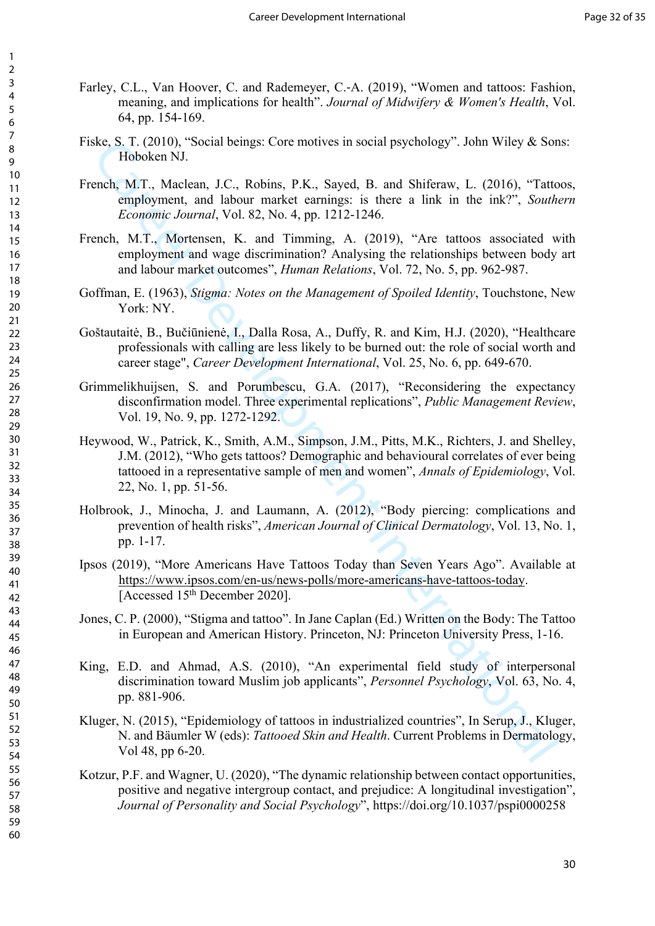- Farley, C.L., Van Hoover, C. and Rademeyer, C.‐A. (2019), "Women and tattoos: Fashion, meaning, and implications for health". *Journal of Midwifery & Women's Health*, Vol. 64, pp. 154-169.
- Fiske, S. T. (2010), "Social beings: Core motives in social psychology". John Wiley & Sons: Hoboken NJ.
- French, M.T., Maclean, J.C., Robins, P.K., Sayed, B. and Shiferaw, L. (2016), "Tattoos, employment, and labour market earnings: is there a link in the ink?", *Southern Economic Journal*, Vol. 82, No. 4, pp. 1212-1246.
- French, M.T., Mortensen, K. and Timming, A. (2019), "Are tattoos associated with employment and wage discrimination? Analysing the relationships between body art and labour market outcomes", *Human Relations*, Vol. 72, No. 5, pp. 962-987.
- Goffman, E. (1963), *Stigma: Notes on the Management of Spoiled Identity*, Touchstone, New York: NY.
- Goštautaitė, B., Bučiūnienė, I., Dalla Rosa, A., Duffy, R. and Kim, H.J. (2020), "Healthcare professionals with calling are less likely to be burned out: the role of social worth and career stage", *Career Development International*, Vol. 25, No. 6, pp. 649-670.
- Grimmelikhuijsen, S. and Porumbescu, G.A. (2017), "Reconsidering the expectancy disconfirmation model. Three experimental replications", *Public Management Review*, Vol. 19, No. 9, pp. 1272-1292.
- Exc. 1. (2010), "Social beings: Core motives in social psychology". John Wiely & Son Italy Nobel Hoboken NJ.<br>
Ench, M.T., Muckeun, J.C., Robins, P.K., Sayed, B. and Shiftraw, L. (2016). "Tat[te](https://www.ipsos.com/en-us/news-polls/more-americans-have-tattoos-today) employment, and labour marke Heywood, W., Patrick, K., Smith, A.M., Simpson, J.M., Pitts, M.K., Richters, J. and Shelley, J.M. (2012), "Who gets tattoos? Demographic and behavioural correlates of ever being tattooed in a representative sample of men and women", *Annals of Epidemiology*, Vol. 22, No. 1, pp. 51-56.
- Holbrook, J., Minocha, J. and Laumann, A. (2012), "Body piercing: complications and prevention of health risks", *American Journal of Clinical Dermatology*, Vol. 13, No. 1, pp. 1-17.
- Ipsos (2019), "More Americans Have Tattoos Today than Seven Years Ago". Available at https://www.ipsos.com/en-us/news-polls/more-americans-have-tattoos-today. [Accessed 15<sup>th</sup> December 2020].
- Jones, C. P. (2000), "Stigma and tattoo". In Jane Caplan (Ed.) Written on the Body: The Tattoo in European and American History. Princeton, NJ: Princeton University Press, 1-16.
- King, E.D. and Ahmad, A.S. (2010), "An experimental field study of interpersonal discrimination toward Muslim job applicants", *Personnel Psychology*, Vol. 63, No. 4, pp. 881-906.
- Kluger, N. (2015), "Epidemiology of tattoos in industrialized countries", In Serup, J., Kluger, N. and Bäumler W (eds): *Tattooed Skin and Health*. Current Problems in Dermatology, Vol 48, pp 6-20.
- Kotzur, P.F. and Wagner, U. (2020), "The dynamic relationship between contact opportunities, positive and negative intergroup contact, and prejudice: A longitudinal investigation", *Journal of Personality and Social Psychology*", https://doi.org/10.1037/pspi0000258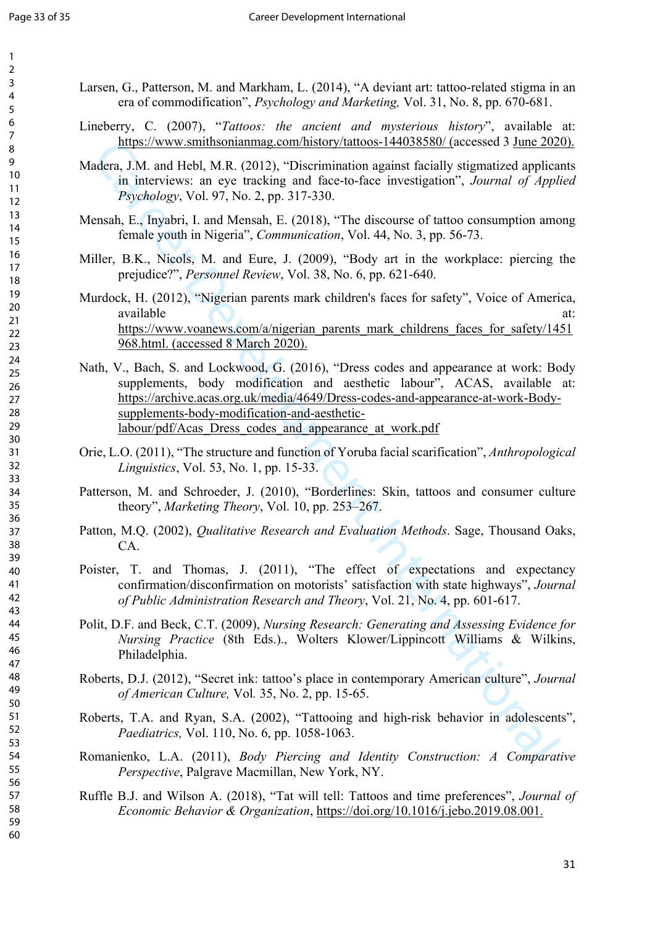- Larsen, G., Patterson, M. and Markham, L. (2014), "A deviant art: tattoo-related stigma in an era of commodification", *Psychology and Marketing,* Vol. 31, No. 8, pp. 670-681.
- Lineberry, C. (2007), "*Tattoos: the ancient and mysterious history*", available at: [https://www.smithsonianmag.com/history/tattoos-144038580/ \(](https://www.smithsonianmag.com/history/tattoos-144038580/%20()accessed 3 June 2020).
- Madera, J.M. and Hebl, M.R. (2012), "Discrimination against facially stigmatized applicants in interviews: an eye tracking and face-to-face investigation", *Journal of Applied Psychology*, Vol. 97, No. 2, pp. 317-330.
- Mensah, E., Inyabri, I. and Mensah, E. (2018), "The discourse of tattoo consumption among female youth in Nigeria", *Communication*, Vol. 44, No. 3, pp. 56-73.
- Miller, B.K., Nicols, M. and Eure, J. (2009), "Body art in the workplace: piercing the prejudice?", *Personnel Review*, Vol. 38, No. 6, pp. 621-640.
- Murdock, H. (2012), "Nigerian parents mark children's faces for safety", Voice of America, available at: at: https://www.voanews.com/a/nigerian\_parents\_mark\_childrens\_faces\_for\_safety/1451 968.html. (accessed 8 March 2020).
- **Examplements Care and Helion School and Helion School (1) and Helion II and Helion II and Helion II and Helion II and Helion II and Helion II and Helion II and Helion II and Helion II and Helion II and Helion II and Heli** Nath, V., Bach, S. and Lockwood, G. (2016), "Dress codes and appearance at work: Body supplements, body modification and aesthetic labour", ACAS, available at: https://archive.acas.org.uk/media/4649/Dress-codes-and-appearance-at-work-Bodysupplements-body-modification-and-aestheticlabour/pdf/Acas\_Dress\_codes\_and\_appearance\_at\_work.pdf
- Orie, L.O. (2011), "The structure and function of Yoruba facial scarification", *Anthropological Linguistics*, Vol. 53, No. 1, pp. 15-33.
- Patterson, M. and Schroeder, J. (2010), "Borderlines: Skin, tattoos and consumer culture theory", *Marketing Theory*, Vol. 10, pp. 253–267.
- Patton, M.Q. (2002), *Qualitative Research and Evaluation Methods*. Sage, Thousand Oaks, CA.
- Poister, T. and Thomas, J. (2011), "The effect of expectations and expectancy confirmation/disconfirmation on motorists' satisfaction with state highways", *Journal of Public Administration Research and Theory*, Vol. 21, No. 4, pp. 601-617.
- Polit, D.F. and Beck, C.T. (2009), *Nursing Research: Generating and Assessing Evidence for Nursing Practice* (8th Eds.)., Wolters Klower/Lippincott Williams & Wilkins, Philadelphia.
- Roberts, D.J. (2012), "Secret ink: tattoo's place in contemporary American culture", *Journal of American Culture,* Vol*.* 35, No. 2, pp. 15-65.
- Roberts, T.A. and Ryan, S.A. (2002), "Tattooing and high-risk behavior in adolescents", *Paediatrics,* Vol. 110, No. 6, pp. 1058-1063.
- Romanienko, L.A. (2011), *Body Piercing and Identity Construction: A Comparative Perspective*, Palgrave Macmillan, New York, NY.
- Ruffle B.J. and Wilson A. (2018), "Tat will tell: Tattoos and time preferences", *Journal of Economic Behavior & Organization*, <https://doi.org/10.1016/j.jebo.2019.08.001>.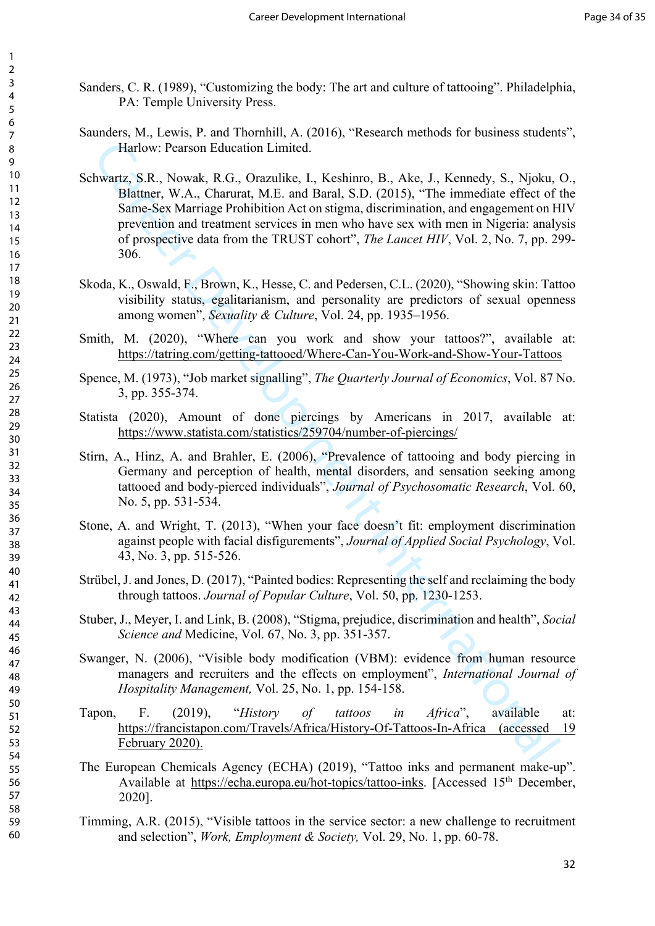- Sanders, C. R. (1989), "Customizing the body: The art and culture of tattooing". Philadelphia, PA: Temple University Press.
- Saunders, M., Lewis, P. and Thornhill, A. (2016), "Research methods for business students", Harlow: Pearson Education Limited.
- Harlow: Pearson Education Limited.<br>
Harlow: Ext. So, Omzuliko, L. K. K. Schimro, B., Akc. J., K. Stmedty, S., Nipoka, Navar, C. Navarka, N. C. Anaral, S. D. (2015), "The immediate effect of sames sex Warrage Prohibition A Schwartz, S.R., Nowak, R.G., Orazulike, I., Keshinro, B., Ake, J., Kennedy, S., Njoku, O., Blattner, W.A., Charurat, M.E. and Baral, S.D. (2015), "The immediate effect of the Same-Sex Marriage Prohibition Act on stigma, discrimination, and engagement on HIV prevention and treatment services in men who have sex with men in Nigeria: analysis of prospective data from the TRUST cohort", *The Lancet HIV*, Vol. 2, No. 7, pp. 299- 306.
- Skoda, K., Oswald, F., Brown, K., Hesse, C. and Pedersen, C.L. (2020), "Showing skin: Tattoo visibility status, egalitarianism, and personality are predictors of sexual openness among women", *Sexuality & Culture*, Vol. 24, pp. 1935–1956.
- Smith, M. (2020), "Where can you work and show your tattoos?", available at: https://tatring.com/getting-tattooed/Where-Can-You-Work-and-Show-Your-Tattoos
- Spence, M. (1973), "Job market signalling", *The Quarterly Journal of Economics*, Vol. 87 No. 3, pp. 355-374.
- Statista (2020), Amount of done piercings by Americans in 2017, available at: https://www.statista.com/statistics/259704/number-of-piercings/
- Stirn, A., Hinz, A. and Brahler, E. (2006), "Prevalence of tattooing and body piercing in Germany and perception of health, mental disorders, and sensation seeking among tattooed and body-pierced individuals", *Journal of Psychosomatic Research*, Vol. 60, No. 5, pp. 531-534.
- Stone, A. and Wright, T. (2013), "When your face doesn't fit: employment discrimination against people with facial disfigurements", *Journal of Applied Social Psychology*, Vol. 43, No. 3, pp. 515-526.
- Strübel, J. and Jones, D. (2017), "Painted bodies: Representing the self and reclaiming the body through tattoos. *Journal of Popular Culture*, Vol. 50, pp. 1230-1253.
- Stuber, J., Meyer, I. and Link, B. (2008), "Stigma, prejudice, discrimination and health", *Social Science and* Medicine, Vol. 67, No. 3, pp. 351-357.
- Swanger, N. (2006), "Visible body modification (VBM): evidence from human resource managers and recruiters and the effects on employment", *International Journal of Hospitality Management,* Vol. 25, No. 1, pp. 154-158.
- Tapon, F. (2019), "*History of tattoos in Africa*", available at: https://francistapon.com/Travels/Africa/History-Of-Tattoos-In-Africa (accessed 19 February 2020).
- The European Chemicals Agency (ECHA) (2019), "Tattoo inks and permanent make-up". Available at [https://echa.europa.eu/hot-topics/tattoo-inks.](https://echa.europa.eu/hot-topics/tattoo-inks) [Accessed 15<sup>th</sup> December, 2020].
- Timming, A.R. (2015), "Visible tattoos in the service sector: a new challenge to recruitment and selection", *Work, Employment & Society,* Vol. 29, No. 1, pp. 60-78.